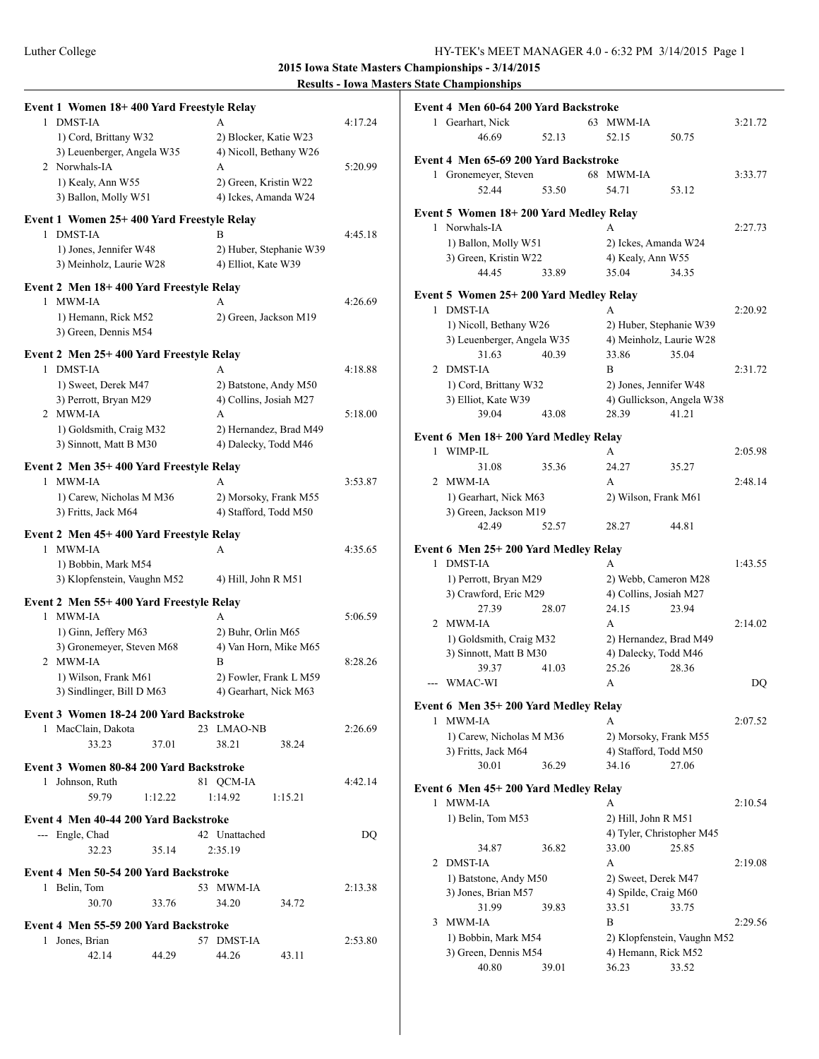| Event 1 Women 18+400 Yard Freestyle Relay                  |                                                 |         |
|------------------------------------------------------------|-------------------------------------------------|---------|
| 1 DMST-IA                                                  | A                                               | 4:17.24 |
| 1) Cord, Brittany W32<br>3) Leuenberger, Angela W35        | 2) Blocker, Katie W23<br>4) Nicoll, Bethany W26 |         |
| 2 Norwhals-IA                                              | A                                               | 5:20.99 |
| 1) Kealy, Ann W55                                          | 2) Green, Kristin W22                           |         |
| 3) Ballon, Molly W51                                       | 4) Ickes, Amanda W24                            |         |
| Event 1 Women 25+400 Yard Freestyle Relay                  |                                                 |         |
| 1 DMST-IA                                                  | R                                               | 4:45.18 |
| 1) Jones, Jennifer W48<br>3) Meinholz, Laurie W28          | 2) Huber, Stephanie W39<br>4) Elliot, Kate W39  |         |
| Event 2 Men 18+400 Yard Freestyle Relay                    |                                                 |         |
| 1 MWM-IA                                                   | A                                               | 4:26.69 |
| 1) Hemann, Rick M52<br>3) Green, Dennis M54                | 2) Green, Jackson M19                           |         |
| Event 2 Men 25+400 Yard Freestyle Relay                    |                                                 |         |
| 1 DMST-IA                                                  | A                                               | 4:18.88 |
| 1) Sweet, Derek M47                                        | 2) Batstone, Andy M50                           |         |
| 3) Perrott, Bryan M29<br>2 MWM-IA                          | 4) Collins, Josiah M27<br>A                     | 5:18.00 |
| 1) Goldsmith, Craig M32                                    | 2) Hernandez, Brad M49                          |         |
| 3) Sinnott, Matt B M30                                     | 4) Dalecky, Todd M46                            |         |
| Event 2 Men 35+400 Yard Freestyle Relay                    |                                                 |         |
| 1 MWM-IA                                                   | A                                               | 3:53.87 |
| 1) Carew, Nicholas M M36<br>3) Fritts, Jack M64            | 2) Morsoky, Frank M55<br>4) Stafford, Todd M50  |         |
|                                                            |                                                 |         |
| Event 2 Men 45+400 Yard Freestyle Relay<br>1 MWM-IA        | A                                               | 4:35.65 |
| 1) Bobbin, Mark M54                                        |                                                 |         |
| 3) Klopfenstein, Vaughn M52                                | 4) Hill, John R M51                             |         |
| Event 2 Men 55+400 Yard Freestyle Relay                    |                                                 |         |
| 1 MWM-IA<br>1) Ginn, Jeffery M63                           | A<br>2) Buhr, Orlin M65                         | 5:06.59 |
| 3) Gronemeyer, Steven M68                                  | 4) Van Horn, Mike M65                           |         |
| 2 MWM-IA                                                   | B                                               | 8:28.26 |
| 1) Wilson, Frank M61                                       | 2) Fowler, Frank L M59                          |         |
| 3) Sindlinger, Bill D M63                                  | 4) Gearhart, Nick M63                           |         |
| Event 3 Women 18-24 200 Yard Backstroke                    |                                                 |         |
| 1 MacClain, Dakota<br>37.01<br>33.23                       | 23 LMAO-NB<br>38.21<br>38.24                    | 2:26.69 |
|                                                            |                                                 |         |
| Event 3 Women 80-84 200 Yard Backstroke<br>1 Johnson, Ruth | 81 QCM-IA                                       | 4:42.14 |
| 59.79<br>1:12.22                                           | 1:14.92<br>1:15.21                              |         |
| Event 4 Men 40-44 200 Yard Backstroke                      |                                                 |         |
| --- Engle, Chad                                            | 42 Unattached                                   | DQ      |
| 32.23<br>35.14                                             | 2:35.19                                         |         |
| Event 4 Men 50-54 200 Yard Backstroke                      |                                                 |         |
| 1 Belin, Tom                                               | 53 MWM-IA                                       | 2:13.38 |
| 33.76<br>30.70                                             | 34.20<br>34.72                                  |         |
| Event 4 Men 55-59 200 Yard Backstroke                      |                                                 |         |
| 1 Jones, Brian                                             | 57 DMST-IA                                      | 2:53.80 |
| 42.14<br>44.29                                             | 44.26<br>43.11                                  |         |

|   | Event 4 Men 60-64 200 Yard Backstroke                   |       |   |                              |                             |         |
|---|---------------------------------------------------------|-------|---|------------------------------|-----------------------------|---------|
|   | 1 Gearhart, Nick                                        |       |   | 63 MWM-IA                    |                             | 3:21.72 |
|   | 46.69                                                   | 52.13 |   | 52.15                        | 50.75                       |         |
|   | Event 4 Men 65-69 200 Yard Backstroke                   |       |   |                              |                             |         |
|   | 1 Gronemeyer, Steven                                    |       |   | 68 MWM-IA                    |                             | 3:33.77 |
|   | 52.44                                                   | 53.50 |   | 54.71                        | 53.12                       |         |
|   |                                                         |       |   |                              |                             |         |
|   | Event 5 Women 18+200 Yard Medley Relay<br>1 Norwhals-IA |       | A |                              |                             | 2:27.73 |
|   | 1) Ballon, Molly W51                                    |       |   | 2) Ickes, Amanda W24         |                             |         |
|   |                                                         |       |   | 4) Kealy, Ann W55            |                             |         |
|   | 3) Green, Kristin W22                                   |       |   |                              |                             |         |
|   | 44.45                                                   | 33.89 |   | 35.04                        | 34.35                       |         |
|   | Event 5 Women 25+200 Yard Medley Relay                  |       |   |                              |                             |         |
|   | 1 DMST-IA                                               |       | A |                              |                             | 2:20.92 |
|   | 1) Nicoll, Bethany W26                                  |       |   | 2) Huber, Stephanie W39      |                             |         |
|   | 3) Leuenberger, Angela W35                              |       |   | 4) Meinholz, Laurie W28      |                             |         |
|   | 31.63                                                   | 40.39 |   | 33.86                        | 35.04                       |         |
|   | 2 DMST-IA                                               |       | B |                              |                             | 2:31.72 |
|   | 1) Cord, Brittany W32                                   |       |   | 2) Jones, Jennifer W48       |                             |         |
|   | 3) Elliot, Kate W39                                     |       |   |                              | 4) Gullickson, Angela W38   |         |
|   | 39.04                                                   | 43.08 |   | 28.39                        | 41.21                       |         |
|   | Event 6 Men 18+200 Yard Medley Relay                    |       |   |                              |                             |         |
|   | 1 WIMP-IL                                               |       | A |                              |                             | 2:05.98 |
|   | 31.08                                                   | 35.36 |   | 24.27                        | 35.27                       |         |
|   | 2 MWM-IA                                                |       | A |                              |                             | 2:48.14 |
|   | 1) Gearhart, Nick M63                                   |       |   | 2) Wilson, Frank M61         |                             |         |
|   | 3) Green, Jackson M19                                   |       |   |                              |                             |         |
|   | 42.49                                                   | 52.57 |   | 28.27                        | 44.81                       |         |
|   |                                                         |       |   |                              |                             |         |
|   |                                                         |       |   |                              |                             |         |
|   | Event 6 Men 25+200 Yard Medley Relay                    |       |   |                              |                             |         |
|   | 1 DMST-IA                                               |       | A |                              |                             | 1:43.55 |
|   | 1) Perrott, Bryan M29                                   |       |   | 2) Webb, Cameron M28         |                             |         |
|   | 3) Crawford, Eric M29                                   |       |   | 4) Collins, Josiah M27       |                             |         |
|   | 27.39                                                   | 28.07 |   | 24.15                        | 23.94                       |         |
|   | 2 MWM-IA                                                |       | A |                              |                             | 2:14.02 |
|   | 1) Goldsmith, Craig M32                                 |       |   | 2) Hernandez, Brad M49       |                             |         |
|   | 3) Sinnott, Matt B M30                                  |       |   | 4) Dalecky, Todd M46         |                             |         |
|   | 39.37                                                   | 41.03 |   | 25.26                        | 28.36                       |         |
|   | WMAC-WI                                                 |       | A |                              |                             | DQ      |
|   | Event 6 Men 35+200 Yard Medley Relay                    |       |   |                              |                             |         |
| 1 | MWM-IA                                                  |       | A |                              |                             | 2:07.52 |
|   | 1) Carew, Nicholas M M36                                |       |   | 2) Morsoky, Frank M55        |                             |         |
|   | 3) Fritts, Jack M64                                     |       |   | 4) Stafford, Todd M50        |                             |         |
|   | 30.01                                                   | 36.29 |   | 34.16                        | 27.06                       |         |
|   |                                                         |       |   |                              |                             |         |
| 1 | Event 6 Men 45+200 Yard Medley Relay<br>MWM-IA          |       | A |                              |                             | 2:10.54 |
|   |                                                         |       |   | 2) Hill, John R M51          |                             |         |
|   | 1) Belin, Tom M53                                       |       |   |                              |                             |         |
|   |                                                         | 36.82 |   | 4) Tyler, Christopher M45    |                             |         |
| 2 | 34.87<br>DMST-IA                                        |       | А | 33.00                        | 25.85                       | 2:19.08 |
|   |                                                         |       |   |                              |                             |         |
|   | 1) Batstone, Andy M50                                   |       |   | 2) Sweet, Derek M47          |                             |         |
|   | 3) Jones, Brian M57                                     |       |   | 4) Spilde, Craig M60         |                             |         |
|   | 31.99                                                   | 39.83 | B | 33.51                        | 33.75                       |         |
| 3 | <b>MWM-IA</b>                                           |       |   |                              |                             | 2:29.56 |
|   | 1) Bobbin, Mark M54                                     |       |   |                              | 2) Klopfenstein, Vaughn M52 |         |
|   | 3) Green, Dennis M54<br>40.80                           | 39.01 |   | 4) Hemann, Rick M52<br>36.23 | 33.52                       |         |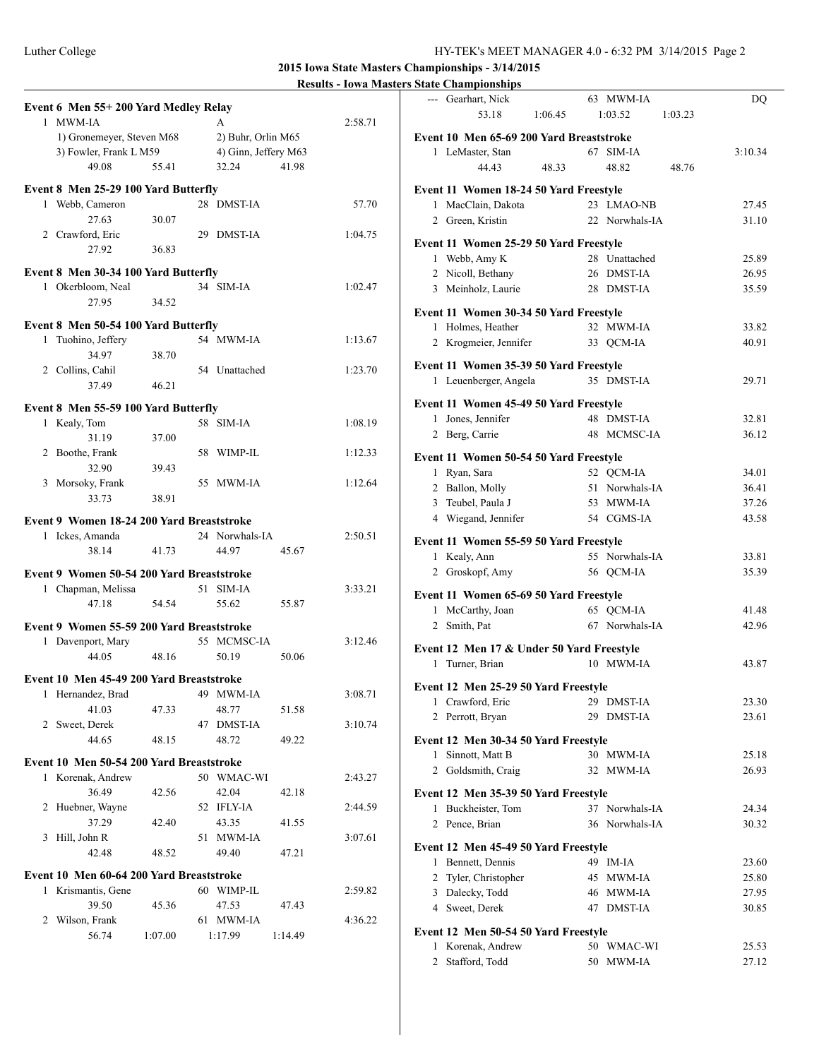|                                                               |                           | $-0.000000000$<br>--- Gearhart, Nick<br>63 MWM-IA     | DQ             |
|---------------------------------------------------------------|---------------------------|-------------------------------------------------------|----------------|
| Event 6 Men 55+200 Yard Medley Relay                          |                           | 53.18<br>1:03.52<br>1:06.45                           | 1:03.23        |
| 1 MWM-IA<br>A                                                 | 2:58.71                   |                                                       |                |
| 1) Gronemeyer, Steven M68                                     | 2) Buhr, Orlin M65        | Event 10 Men 65-69 200 Yard Breaststroke              |                |
| 3) Fowler, Frank L M59                                        | 4) Ginn, Jeffery M63      | 1 LeMaster, Stan<br>67 SIM-IA                         | 3:10.34        |
| 49.08<br>55.41                                                | 32.24<br>41.98            | 48.82<br>44.43<br>48.33                               | 48.76          |
| Event 8 Men 25-29 100 Yard Butterfly                          |                           | Event 11 Women 18-24 50 Yard Freestyle                |                |
| 1 Webb, Cameron                                               | 28 DMST-IA<br>57.70       | 1 MacClain, Dakota<br>23 LMAO-NB                      | 27.45          |
| 27.63<br>30.07                                                |                           | 2 Green, Kristin<br>22 Norwhals-IA                    | 31.10          |
| 2 Crawford, Eric                                              | 29 DMST-IA<br>1:04.75     |                                                       |                |
| 27.92<br>36.83                                                |                           | Event 11 Women 25-29 50 Yard Freestyle                |                |
| Event 8 Men 30-34 100 Yard Butterfly                          |                           | 1 Webb, Amy K<br>28 Unattached<br>26 DMST-IA          | 25.89<br>26.95 |
| 1 Okerbloom, Neal<br>34 SIM-IA                                | 1:02.47                   | 2 Nicoll, Bethany<br>3 Meinholz, Laurie<br>28 DMST-IA | 35.59          |
| 27.95<br>34.52                                                |                           |                                                       |                |
|                                                               |                           | Event 11 Women 30-34 50 Yard Freestyle                |                |
| Event 8 Men 50-54 100 Yard Butterfly                          |                           | 1 Holmes, Heather<br>32 MWM-IA                        | 33.82          |
| 1 Tuohino, Jeffery                                            | 54 MWM-IA<br>1:13.67      | 2 Krogmeier, Jennifer<br>33 QCM-IA                    | 40.91          |
| 34.97<br>38.70                                                |                           | Event 11 Women 35-39 50 Yard Freestyle                |                |
| 2 Collins, Cahil                                              | 54 Unattached<br>1:23.70  | 1 Leuenberger, Angela<br>35 DMST-IA                   | 29.71          |
| 37.49<br>46.21                                                |                           |                                                       |                |
| Event 8 Men 55-59 100 Yard Butterfly                          |                           | Event 11 Women 45-49 50 Yard Freestyle                |                |
| 1 Kealy, Tom<br>58 SIM-IA                                     | 1:08.19                   | 1 Jones, Jennifer<br>48 DMST-IA                       | 32.81          |
| 31.19<br>37.00                                                |                           | 2 Berg, Carrie<br>48 MCMSC-IA                         | 36.12          |
| 2 Boothe, Frank                                               | 58 WIMP-IL<br>1:12.33     | Event 11 Women 50-54 50 Yard Freestyle                |                |
| 32.90<br>39.43                                                |                           | 1 Ryan, Sara<br>52 QCM-IA                             | 34.01          |
| 3 Morsoky, Frank                                              | 55 MWM-IA<br>1:12.64      | 2 Ballon, Molly<br>51 Norwhals-IA                     | 36.41          |
| 33.73<br>38.91                                                |                           | 3 Teubel, Paula J<br>53 MWM-IA                        | 37.26          |
| Event 9 Women 18-24 200 Yard Breaststroke                     |                           | 4 Wiegand, Jennifer<br>54 CGMS-IA                     | 43.58          |
| 1 Ickes, Amanda                                               | 24 Norwhals-IA<br>2:50.51 |                                                       |                |
| 38.14<br>41.73                                                | 44.97<br>45.67            | Event 11 Women 55-59 50 Yard Freestyle                |                |
|                                                               |                           | 1 Kealy, Ann<br>55 Norwhals-IA                        | 33.81          |
| Event 9 Women 50-54 200 Yard Breaststroke                     |                           | 2 Groskopf, Amy<br>56 QCM-IA                          | 35.39          |
| 51 SIM-IA<br>1 Chapman, Melissa                               | 3:33.21                   | Event 11 Women 65-69 50 Yard Freestyle                |                |
| 47.18<br>54.54                                                | 55.62<br>55.87            | 1 McCarthy, Joan<br>65 QCM-IA                         | 41.48          |
| Event 9 Women 55-59 200 Yard Breaststroke                     |                           | 2 Smith, Pat<br>67 Norwhals-IA                        | 42.96          |
| 1 Davenport, Mary                                             | 55 MCMSC-IA<br>3:12.46    |                                                       |                |
| 48.16<br>44.05                                                | 50.19<br>50.06            | Event 12 Men 17 & Under 50 Yard Freestyle             |                |
|                                                               |                           | 1 Turner, Brian<br>10 MWM-IA                          | 43.87          |
| Event 10 Men 45-49 200 Yard Breaststroke<br>1 Hernandez, Brad | 49 MWM-IA<br>3:08.71      | Event 12 Men 25-29 50 Yard Freestyle                  |                |
| 41.03<br>47.33                                                | 48.77<br>51.58            | 29 DMST-IA<br>1 Crawford, Eric                        | 23.30          |
| 2 Sweet, Derek                                                | 47 DMST-IA<br>3:10.74     | 2 Perrott, Bryan<br>29 DMST-IA                        | 23.61          |
| 44.65<br>48.15                                                | 49.22<br>48.72            | Event 12 Men 30-34 50 Yard Freestyle                  |                |
|                                                               |                           | 1 Sinnott, Matt B<br>30 MWM-IA                        | 25.18          |
| Event 10 Men 50-54 200 Yard Breaststroke                      |                           | 2 Goldsmith, Craig<br>32 MWM-IA                       | 26.93          |
| 1 Korenak, Andrew                                             | 50 WMAC-WI<br>2:43.27     |                                                       |                |
| 36.49<br>42.56                                                | 42.04<br>42.18            | Event 12 Men 35-39 50 Yard Freestyle                  |                |
| 2 Huebner, Wayne<br>52 IFLY-IA                                | 2:44.59                   | 1 Buckheister, Tom<br>37 Norwhals-IA                  | 24.34          |
| 37.29<br>42.40                                                | 43.35<br>41.55            | 2 Pence, Brian<br>36 Norwhals-IA                      | 30.32          |
| 3 Hill, John R                                                | 3:07.61<br>51 MWM-IA      | Event 12 Men 45-49 50 Yard Freestyle                  |                |
| 42.48<br>48.52                                                | 47.21<br>49.40            | 1 Bennett, Dennis<br>49 IM-IA                         | 23.60          |
| Event 10 Men 60-64 200 Yard Breaststroke                      |                           | 2 Tyler, Christopher<br>45 MWM-IA                     | 25.80          |
| 1 Krismantis, Gene                                            | 60 WIMP-IL<br>2:59.82     | 3 Dalecky, Todd<br>46 MWM-IA                          | 27.95          |
| 39.50<br>45.36                                                | 47.53<br>47.43            | 4 Sweet, Derek<br>47 DMST-IA                          | 30.85          |
| 2 Wilson, Frank                                               | 4:36.22<br>61 MWM-IA      |                                                       |                |
| 56.74<br>1:07.00<br>1:17.99                                   | 1:14.49                   | Event 12 Men 50-54 50 Yard Freestyle                  |                |
|                                                               |                           | 1 Korenak, Andrew<br>50 WMAC-WI                       | 25.53          |
|                                                               |                           | 2 Stafford, Todd<br>50 MWM-IA                         | 27.12          |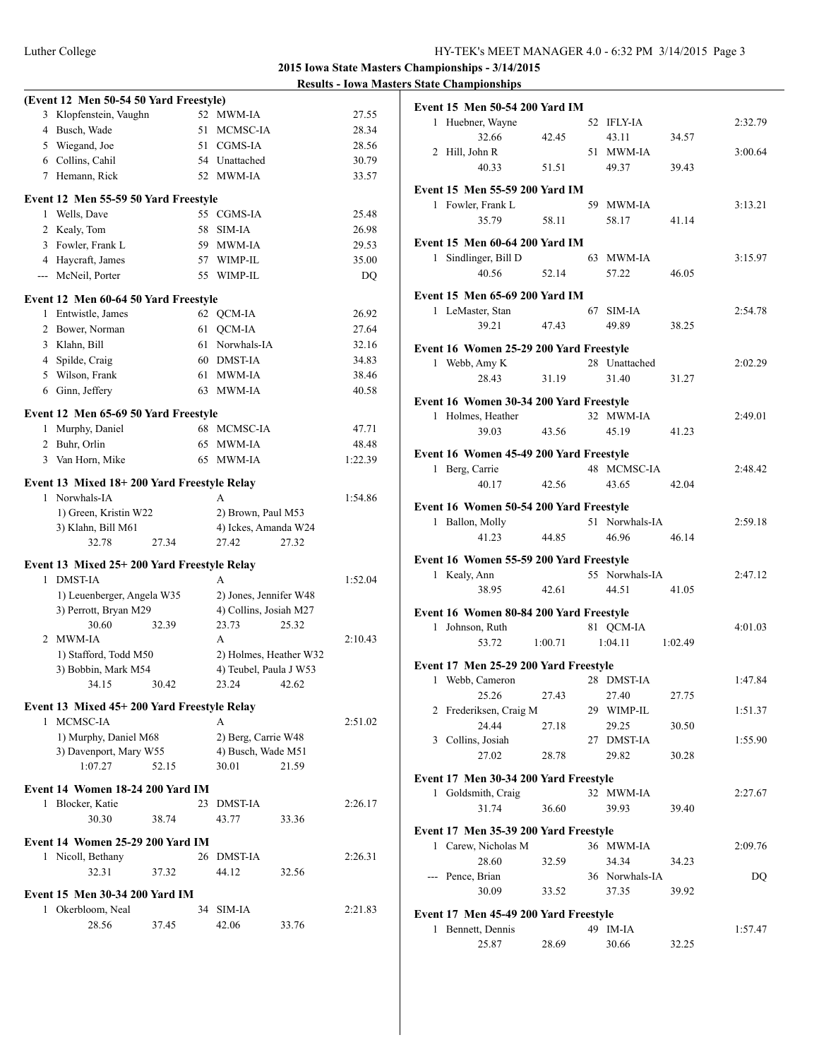|   | (Event 12 Men 50-54 50 Yard Freestyle)                |       |    |                         | .     | $\ddotsc$ |
|---|-------------------------------------------------------|-------|----|-------------------------|-------|-----------|
| 3 | Klopfenstein, Vaughn                                  |       | 52 | MWM-IA                  |       | 27.55     |
|   | 4 Busch, Wade                                         |       | 51 | MCMSC-IA                |       | 28.34     |
|   | 5 Wiegand, Joe                                        |       | 51 | CGMS-IA                 |       | 28.56     |
|   | 6 Collins, Cahil                                      |       |    | 54 Unattached           |       | 30.79     |
|   | 7 Hemann, Rick                                        |       |    | 52 MWM-IA               |       | 33.57     |
|   |                                                       |       |    |                         |       |           |
|   | Event 12 Men 55-59 50 Yard Freestyle                  |       |    |                         |       |           |
|   | 1 Wells, Dave                                         |       |    | 55 CGMS-IA              |       | 25.48     |
|   | 2 Kealy, Tom                                          |       | 58 | SIM-IA                  |       | 26.98     |
|   | 3 Fowler, Frank L                                     |       | 59 | MWM-IA                  |       | 29.53     |
|   | 4 Haycraft, James                                     |       | 57 | WIMP-IL                 |       | 35.00     |
|   | --- McNeil, Porter                                    |       |    | 55 WIMP-IL              |       | DQ        |
|   | Event 12 Men 60-64 50 Yard Freestyle                  |       |    |                         |       |           |
| 1 | Entwistle, James                                      |       |    | 62 QCM-IA               |       | 26.92     |
|   | 2 Bower, Norman                                       |       | 61 | QCM-IA                  |       | 27.64     |
|   | 3 Klahn, Bill                                         |       | 61 | Norwhals-IA             |       | 32.16     |
|   | 4 Spilde, Craig                                       |       | 60 | DMST-IA                 |       | 34.83     |
|   | 5 Wilson, Frank                                       |       | 61 | MWM-IA                  |       | 38.46     |
|   | 6 Ginn, Jeffery                                       |       |    | 63 MWM-IA               |       | 40.58     |
|   |                                                       |       |    |                         |       |           |
|   | Event 12 Men 65-69 50 Yard Freestyle                  |       |    |                         |       |           |
| 1 | Murphy, Daniel                                        |       |    | 68 MCMSC-IA             |       | 47.71     |
|   | 2 Buhr, Orlin                                         |       | 65 | MWM-IA<br><b>MWM-IA</b> |       | 48.48     |
|   | 3 Van Horn, Mike                                      |       | 65 |                         |       | 1:22.39   |
|   | Event 13 Mixed 18+200 Yard Freestyle Relay            |       |    |                         |       |           |
| 1 | Norwhals-IA                                           |       |    | A                       |       | 1:54.86   |
|   | 1) Green, Kristin W22                                 |       |    | 2) Brown, Paul M53      |       |           |
|   | 3) Klahn, Bill M61                                    |       |    | 4) Ickes, Amanda W24    |       |           |
|   | 32.78                                                 | 27.34 |    | 27.42                   | 27.32 |           |
|   | Event 13 Mixed 25+200 Yard Freestyle Relay            |       |    |                         |       |           |
| 1 | <b>DMST-IA</b>                                        |       |    | A                       |       | 1:52.04   |
|   | 1) Leuenberger, Angela W35                            |       |    | 2) Jones, Jennifer W48  |       |           |
|   | 3) Perrott, Bryan M29                                 |       |    | 4) Collins, Josiah M27  |       |           |
|   | 30.60                                                 | 32.39 |    | 23.73                   | 25.32 |           |
| 2 | <b>MWM-IA</b>                                         |       |    | A                       |       | 2:10.43   |
|   | 1) Stafford, Todd M50                                 |       |    | 2) Holmes, Heather W32  |       |           |
|   | 3) Bobbin, Mark M54                                   |       |    | 4) Teubel, Paula J W53  |       |           |
|   | 34.15                                                 | 30.42 |    | 23.24 42.62             |       |           |
|   |                                                       |       |    |                         |       |           |
|   | Event 13 Mixed 45+200 Yard Freestyle Relay            |       |    |                         |       |           |
| 1 | MCMSC-IA                                              |       |    | A                       |       | 2:51.02   |
|   | 1) Murphy, Daniel M68                                 |       |    | 2) Berg, Carrie W48     |       |           |
|   | 3) Davenport, Mary W55                                |       |    | 4) Busch, Wade M51      |       |           |
|   | 1:07.27                                               | 52.15 |    | 30.01                   | 21.59 |           |
|   | Event 14 Women 18-24 200 Yard IM                      |       |    |                         |       |           |
| 1 | Blocker, Katie                                        |       | 23 | <b>DMST-IA</b>          |       | 2:26.17   |
|   | 30.30                                                 | 38.74 |    | 43.77                   | 33.36 |           |
|   |                                                       |       |    |                         |       |           |
|   | Event 14 Women 25-29 200 Yard IM<br>1 Nicoll, Bethany |       | 26 | DMST-IA                 |       | 2:26.31   |
|   | 32.31                                                 | 37.32 |    | 44.12                   |       |           |
|   |                                                       |       |    |                         | 32.56 |           |
|   | <b>Event 15 Men 30-34 200 Yard IM</b>                 |       |    |                         |       |           |
|   | 1 Okerbloom, Neal                                     |       | 34 | <b>SIM-IA</b>           |       | 2:21.83   |
|   | 28.56                                                 | 37.45 |    | 42.06                   | 33.76 |           |

|                                                         | Event 15 Men 50-54 200 Yard IM |                         |         |         |
|---------------------------------------------------------|--------------------------------|-------------------------|---------|---------|
| 1 Huebner, Wayne                                        |                                | 52 IFLY-IA              |         | 2:32.79 |
| 32.66                                                   | 42.45                          | 43.11                   | 34.57   |         |
| 2 Hill, John R                                          |                                | 51 MWM-IA               |         | 3:00.64 |
| 40.33                                                   | 51.51                          | 49.37                   | 39.43   |         |
| Event 15 Men 55-59 200 Yard IM                          |                                |                         |         |         |
| 1 Fowler, Frank L                                       |                                | 59 MWM-IA               |         | 3:13.21 |
| 35.79                                                   | 58.11                          | 58.17                   | 41.14   |         |
|                                                         |                                |                         |         |         |
| Event 15 Men 60-64 200 Yard IM                          |                                |                         |         |         |
| 1 Sindlinger, Bill D                                    |                                | 63 MWM-IA               |         | 3:15.97 |
| 40.56                                                   | 52.14                          | 57.22                   | 46.05   |         |
| Event 15 Men 65-69 200 Yard IM                          |                                |                         |         |         |
| 1 LeMaster, Stan                                        |                                | 67 SIM-IA               |         | 2:54.78 |
| 39.21                                                   | 47.43                          | 49.89                   | 38.25   |         |
| Event 16 Women 25-29 200 Yard Freestyle                 |                                |                         |         |         |
| 1 Webb, Amy K                                           |                                | 28 Unattached           |         | 2:02.29 |
| 28.43                                                   | 31.19                          | 31.40                   | 31.27   |         |
|                                                         |                                |                         |         |         |
| Event 16 Women 30-34 200 Yard Freestyle                 |                                |                         |         |         |
| 1 Holmes, Heather                                       |                                | 32 MWM-IA               |         | 2:49.01 |
| 39.03                                                   | 43.56                          | 45.19                   | 41.23   |         |
| Event 16 Women 45-49 200 Yard Freestyle                 |                                |                         |         |         |
| 1 Berg, Carrie                                          |                                | 48 MCMSC-IA             |         | 2:48.42 |
| 40.17                                                   | 42.56                          | 43.65                   | 42.04   |         |
| Event 16 Women 50-54 200 Yard Freestyle                 |                                |                         |         |         |
| 1 Ballon, Molly                                         |                                | 51 Norwhals-IA          |         | 2:59.18 |
| 41.23                                                   | 44.85                          | 46.96                   | 46.14   |         |
|                                                         |                                |                         |         |         |
| Event 16 Women 55-59 200 Yard Freestyle<br>1 Kealy, Ann |                                | 55 Norwhals-IA          |         | 2:47.12 |
| 38.95                                                   | 42.61                          | 44.51                   | 41.05   |         |
|                                                         |                                |                         |         |         |
|                                                         |                                |                         |         |         |
| Event 16 Women 80-84 200 Yard Freestyle                 |                                |                         |         |         |
| 1 Johnson, Ruth                                         |                                | 81 QCM-IA               |         | 4:01.03 |
| 53.72                                                   | 1:00.71                        | 1:04.11                 | 1:02.49 |         |
| Event 17 Men 25-29 200 Yard Freestyle                   |                                |                         |         |         |
| 1 Webb, Cameron                                         |                                | 28 DMST-IA              |         | 1:47.84 |
| 25.26                                                   | 27.43                          | 27.40                   | 27.75   |         |
| 2 Frederiksen, Craig M                                  |                                | 29 WIMP-IL              |         | 1:51.37 |
| 24.44                                                   | 27.18                          | 29.25                   | 30.50   |         |
| 3 Collins, Josiah                                       |                                | 27 DMST-IA              |         | 1:55.90 |
| 27.02                                                   | 28.78                          | 29.82                   | 30.28   |         |
| Event 17 Men 30-34 200 Yard Freestyle                   |                                |                         |         |         |
| Goldsmith, Craig<br>1                                   |                                | 32 MWM-IA               |         | 2:27.67 |
| 31.74                                                   | 36.60                          | 39.93                   | 39.40   |         |
|                                                         |                                |                         |         |         |
| Event 17 Men 35-39 200 Yard Freestyle                   |                                |                         |         |         |
| 1 Carew, Nicholas M<br>28.60                            |                                | 36 MWM-IA               |         | 2:09.76 |
|                                                         | 32.59                          | 34.34                   | 34.23   |         |
| --- Pence, Brian<br>30.09                               | 33.52                          | 36 Norwhals-IA<br>37.35 | 39.92   | DQ      |
|                                                         |                                |                         |         |         |
| Event 17 Men 45-49 200 Yard Freestyle                   |                                |                         |         |         |
| 1 Bennett, Dennis<br>25.87                              | 28.69                          | 49 IM-IA<br>30.66       | 32.25   | 1:57.47 |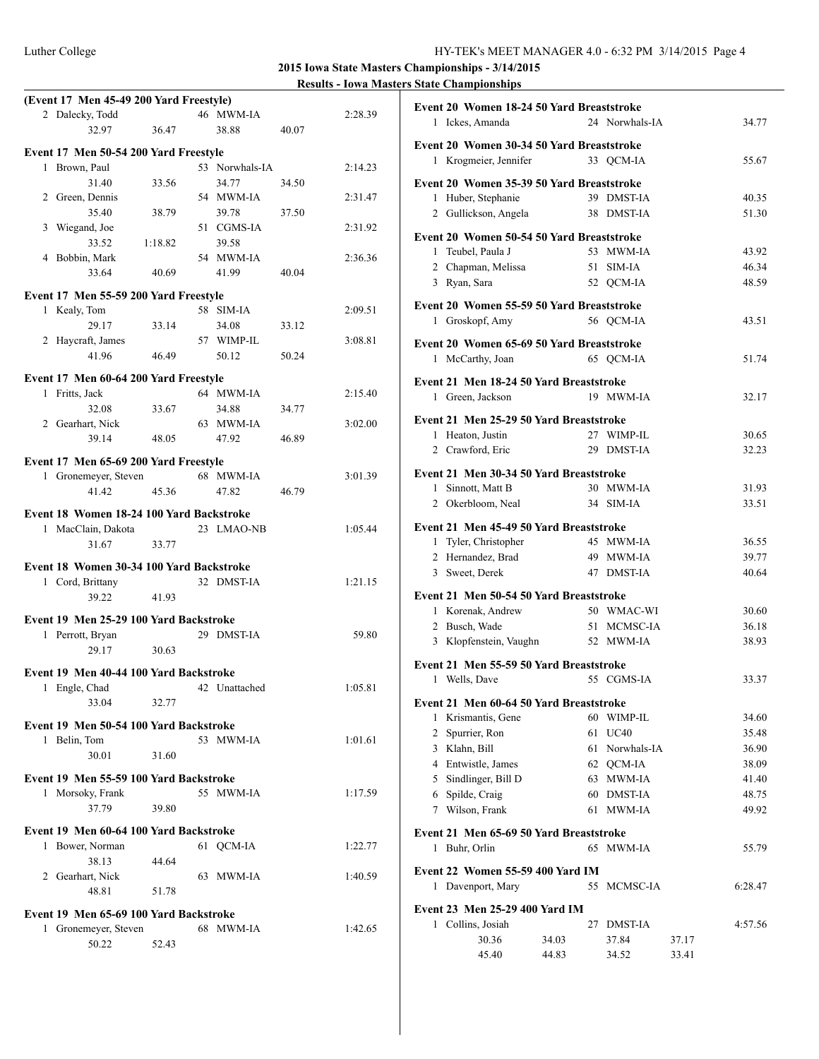|              | (Event 17 Men 45-49 200 Yard Freestyle)  |         |                |       |         |
|--------------|------------------------------------------|---------|----------------|-------|---------|
|              | 2 Dalecky, Todd                          |         | 46 MWM-IA      |       | 2:28.39 |
|              | 32.97                                    | 36.47   | 38.88          | 40.07 |         |
|              | Event 17 Men 50-54 200 Yard Freestyle    |         |                |       |         |
| $\mathbf{1}$ | Brown, Paul                              |         | 53 Norwhals-IA |       | 2:14.23 |
|              | 31.40                                    | 33.56   | 34.77          | 34.50 |         |
|              | 2 Green, Dennis                          |         | 54 MWM-IA      |       | 2:31.47 |
|              | 35.40                                    | 38.79   | 39.78          | 37.50 |         |
|              | 3 Wiegand, Joe                           |         | 51 CGMS-IA     |       | 2:31.92 |
|              | 33.52                                    | 1:18.82 | 39.58          |       |         |
|              | 4 Bobbin, Mark                           |         | 54 MWM-IA      |       | 2:36.36 |
|              | 33.64                                    | 40.69   | 41.99          | 40.04 |         |
|              |                                          |         |                |       |         |
|              | Event 17 Men 55-59 200 Yard Freestyle    |         |                |       |         |
| $\mathbf{1}$ | Kealy, Tom                               |         | 58 SIM-IA      |       | 2:09.51 |
|              | 29.17                                    | 33.14   | 34.08          | 33.12 |         |
|              | 2 Haycraft, James                        |         | 57 WIMP-IL     |       | 3:08.81 |
|              | 41.96                                    | 46.49   | 50.12          | 50.24 |         |
|              | Event 17 Men 60-64 200 Yard Freestyle    |         |                |       |         |
| $\mathbf{1}$ | Fritts, Jack                             |         | 64 MWM-IA      |       | 2:15.40 |
|              | 32.08                                    | 33.67   | 34.88          | 34.77 |         |
|              | 2 Gearhart, Nick                         |         | 63 MWM-IA      |       | 3:02.00 |
|              | 39.14                                    | 48.05   | 47.92          | 46.89 |         |
|              |                                          |         |                |       |         |
|              | Event 17 Men 65-69 200 Yard Freestyle    |         |                |       |         |
|              | 1 Gronemeyer, Steven                     |         | 68 MWM-IA      |       | 3:01.39 |
|              | 41.42                                    | 45.36   | 47.82          | 46.79 |         |
|              | Event 18 Women 18-24 100 Yard Backstroke |         |                |       |         |
|              | 1 MacClain, Dakota                       |         | 23 LMAO-NB     |       | 1:05.44 |
|              | 31.67                                    | 33.77   |                |       |         |
|              |                                          |         |                |       |         |
|              | Event 18 Women 30-34 100 Yard Backstroke |         |                |       |         |
|              | 1 Cord, Brittany                         |         | 32 DMST-IA     |       | 1:21.15 |
|              | 39.22                                    | 41.93   |                |       |         |
|              | Event 19 Men 25-29 100 Yard Backstroke   |         |                |       |         |
|              | 1 Perrott, Bryan                         |         | 29 DMST-IA     |       | 59.80   |
|              | 29.17                                    | 30.63   |                |       |         |
|              |                                          |         |                |       |         |
|              | Event 19 Men 40-44 100 Yard Backstroke   |         |                |       |         |
| 1            | Engle, Chad                              |         | 42 Unattached  |       | 1:05.81 |
|              | 33.04                                    | 32.77   |                |       |         |
|              | Event 19 Men 50-54 100 Yard Backstroke   |         |                |       |         |
|              | 1 Belin, Tom                             |         | 53 MWM-IA      |       | 1:01.61 |
|              | 30.01                                    | 31.60   |                |       |         |
|              |                                          |         |                |       |         |
|              | Event 19 Men 55-59 100 Yard Backstroke   |         |                |       |         |
| 1            | Morsoky, Frank                           |         | 55 MWM-IA      |       | 1:17.59 |
|              | 37.79                                    | 39.80   |                |       |         |
|              | Event 19 Men 60-64 100 Yard Backstroke   |         |                |       |         |
|              | 1 Bower, Norman                          |         | 61 QCM-IA      |       | 1:22.77 |
|              | 38.13                                    | 44.64   |                |       |         |
|              | 2 Gearhart, Nick                         |         | 63 MWM-IA      |       | 1:40.59 |
|              | 48.81                                    | 51.78   |                |       |         |
|              |                                          |         |                |       |         |
|              | Event 19 Men 65-69 100 Yard Backstroke   |         |                |       |         |
| $\mathbf{1}$ | Gronemeyer, Steven                       |         | 68 MWM-IA      |       | 1:42.65 |
|              | 50.22                                    | 52.43   |                |       |         |

| Event 20 Women 18-24 50 Yard Breaststroke |       |                |       |         |
|-------------------------------------------|-------|----------------|-------|---------|
| 1 Ickes, Amanda                           |       | 24 Norwhals-IA |       | 34.77   |
| Event 20 Women 30-34 50 Yard Breaststroke |       |                |       |         |
| 1 Krogmeier, Jennifer                     |       | 33 QCM-IA      |       | 55.67   |
|                                           |       |                |       |         |
| Event 20 Women 35-39 50 Yard Breaststroke |       |                |       |         |
| 1 Huber, Stephanie                        |       | 39 DMST-IA     |       | 40.35   |
| 2 Gullickson, Angela                      |       | 38 DMST-IA     |       | 51.30   |
| Event 20 Women 50-54 50 Yard Breaststroke |       |                |       |         |
| 1 Teubel, Paula J                         |       | 53 MWM-IA      |       | 43.92   |
| 2 Chapman, Melissa                        |       | 51 SIM-IA      |       | 46.34   |
| 3 Ryan, Sara                              |       | 52 QCM-IA      |       | 48.59   |
|                                           |       |                |       |         |
| Event 20 Women 55-59 50 Yard Breaststroke |       |                |       |         |
| 1 Groskopf, Amy                           |       | 56 QCM-IA      |       | 43.51   |
| Event 20 Women 65-69 50 Yard Breaststroke |       |                |       |         |
| McCarthy, Joan<br>1                       |       | 65 QCM-IA      |       | 51.74   |
|                                           |       |                |       |         |
| Event 21 Men 18-24 50 Yard Breaststroke   |       |                |       |         |
| 1 Green, Jackson                          |       | 19 MWM-IA      |       | 32.17   |
| Event 21 Men 25-29 50 Yard Breaststroke   |       |                |       |         |
| 1 Heaton, Justin                          |       | 27 WIMP-IL     |       | 30.65   |
| 2 Crawford, Eric                          |       | 29 DMST-IA     |       | 32.23   |
|                                           |       |                |       |         |
| Event 21 Men 30-34 50 Yard Breaststroke   |       |                |       |         |
| 1 Sinnott, Matt B                         |       | 30 MWM-IA      |       | 31.93   |
| 2 Okerbloom, Neal                         |       | 34 SIM-IA      |       | 33.51   |
| Event 21 Men 45-49 50 Yard Breaststroke   |       |                |       |         |
| 1 Tyler, Christopher                      |       | 45 MWM-IA      |       | 36.55   |
| 2 Hernandez, Brad                         |       | 49 MWM-IA      |       | 39.77   |
| 3 Sweet, Derek                            |       | 47 DMST-IA     |       | 40.64   |
|                                           |       |                |       |         |
| Event 21 Men 50-54 50 Yard Breaststroke   |       |                |       |         |
| 1 Korenak, Andrew                         |       | 50 WMAC-WI     |       | 30.60   |
| 2 Busch, Wade                             |       | 51 MCMSC-IA    |       | 36.18   |
| 3 Klopfenstein, Vaughn                    |       | 52 MWM-IA      |       | 38.93   |
| Event 21 Men 55-59 50 Yard Breaststroke   |       |                |       |         |
| Wells, Dave<br>1                          |       | 55 CGMS-IA     |       | 33.37   |
|                                           |       |                |       |         |
| Event 21 Men 60-64 50 Yard Breaststroke   |       |                |       |         |
| 1 Krismantis, Gene                        |       | 60 WIMP-IL     |       | 34.60   |
| Spurrier, Ron<br>$\mathbf{2}$             | 61    | <b>UC40</b>    |       | 35.48   |
| 3 Klahn, Bill                             | 61    | Norwhals-IA    |       | 36.90   |
| 4 Entwistle, James                        |       | 62 QCM-IA      |       | 38.09   |
| Sindlinger, Bill D<br>5                   |       | 63 MWM-IA      |       | 41.40   |
| Spilde, Craig<br>6                        | 60    | DMST-IA        |       | 48.75   |
| Wilson, Frank<br>7                        | 61    | MWM-IA         |       | 49.92   |
| Event 21 Men 65-69 50 Yard Breaststroke   |       |                |       |         |
| Buhr, Orlin<br>1                          | 65    | MWM-IA         |       | 55.79   |
|                                           |       |                |       |         |
| Event 22 Women 55-59 400 Yard IM          |       |                |       |         |
| 1 Davenport, Mary                         | 55    | MCMSC-IA       |       | 6:28.47 |
| Event 23 Men 25-29 400 Yard IM            |       |                |       |         |
| 1 Collins, Josiah                         | 27    | <b>DMST-IA</b> |       | 4:57.56 |
| 30.36                                     | 34.03 | 37.84          | 37.17 |         |
|                                           |       | 34.52          | 33.41 |         |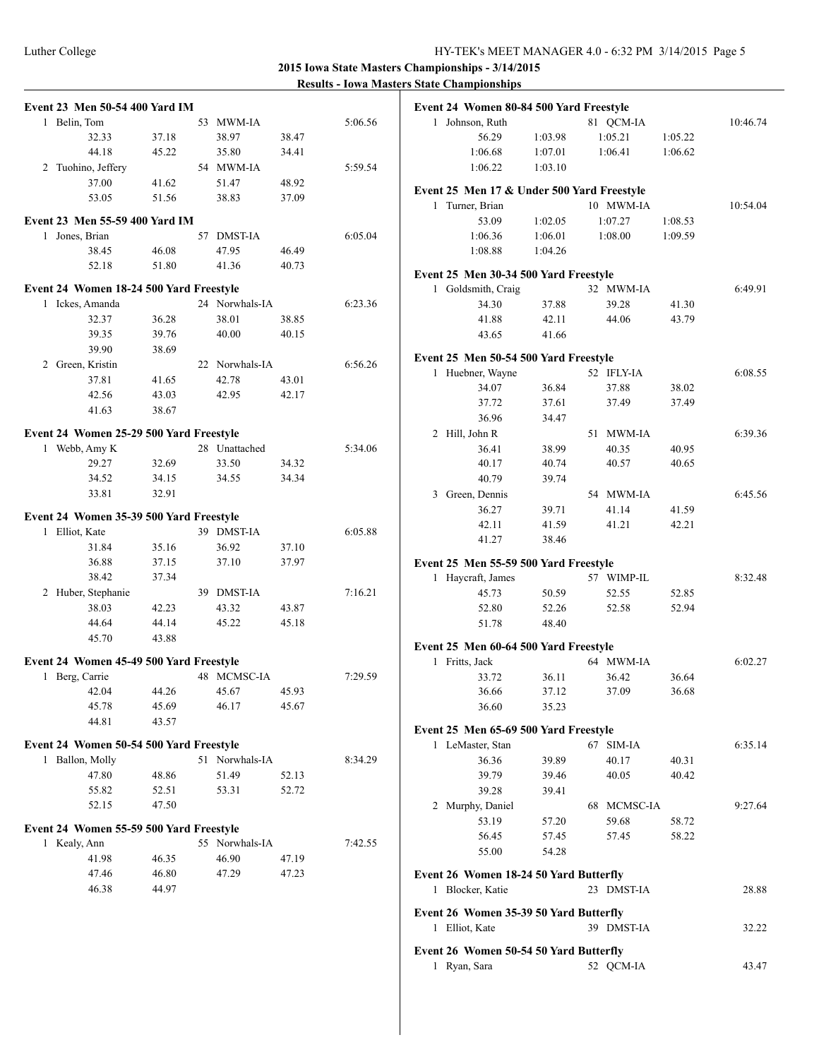| <b>Event 23 Men 50-54 400 Yard IM</b>   |       |                |       |         |
|-----------------------------------------|-------|----------------|-------|---------|
| 1 Belin, Tom                            |       | 53 MWM-IA      |       | 5:06.56 |
| 32.33                                   | 37.18 | 38.97          | 38.47 |         |
| 44.18                                   | 45.22 | 35.80          | 34.41 |         |
| 2 Tuohino, Jeffery                      |       | 54 MWM-IA      |       | 5:59.54 |
| 37.00                                   | 41.62 | 51.47          | 48.92 |         |
| 53.05                                   | 51.56 | 38.83          | 37.09 |         |
|                                         |       |                |       |         |
| Event 23 Men 55-59 400 Yard IM          |       |                |       |         |
| Jones, Brian<br>1                       |       | 57 DMST-IA     |       | 6:05.04 |
| 38.45                                   | 46.08 | 47.95          | 46.49 |         |
| 52.18                                   | 51.80 | 41.36          | 40.73 |         |
|                                         |       |                |       |         |
| Event 24 Women 18-24 500 Yard Freestyle |       |                |       |         |
| 1 Ickes, Amanda                         |       | 24 Norwhals-IA |       | 6:23.36 |
| 32.37                                   | 36.28 | 38.01          | 38.85 |         |
| 39.35                                   | 39.76 | 40.00          | 40.15 |         |
| 39.90                                   | 38.69 |                |       |         |
| 2 Green, Kristin                        |       | 22 Norwhals-IA |       | 6:56.26 |
| 37.81                                   | 41.65 | 42.78          | 43.01 |         |
| 42.56                                   | 43.03 | 42.95          | 42.17 |         |
| 41.63                                   | 38.67 |                |       |         |
|                                         |       |                |       |         |
| Event 24 Women 25-29 500 Yard Freestyle |       |                |       |         |
| 1 Webb, Amy K                           |       | 28 Unattached  |       | 5:34.06 |
| 29.27                                   | 32.69 | 33.50          | 34.32 |         |
| 34.52                                   | 34.15 | 34.55          | 34.34 |         |
| 33.81                                   | 32.91 |                |       |         |
| Event 24 Women 35-39 500 Yard Freestyle |       |                |       |         |
| 1 Elliot, Kate                          |       | 39 DMST-IA     |       | 6:05.88 |
| 31.84                                   | 35.16 | 36.92          | 37.10 |         |
| 36.88                                   | 37.15 | 37.10          | 37.97 |         |
| 38.42                                   | 37.34 |                |       |         |
| 2 Huber, Stephanie                      |       | 39 DMST-IA     |       | 7:16.21 |
|                                         |       |                | 43.87 |         |
| 38.03                                   | 42.23 | 43.32          |       |         |
| 44.64                                   | 44.14 | 45.22          | 45.18 |         |
| 45.70                                   | 43.88 |                |       |         |
| Event 24 Women 45-49 500 Yard Freestyle |       |                |       |         |
| Berg, Carrie<br>1                       |       | 48 MCMSC-IA    |       | 7:29.59 |
| 42.04                                   | 44.26 | 45.67          | 45.93 |         |
| 45.78                                   | 45.69 | 46.17          | 45.67 |         |
| 44.81                                   | 43.57 |                |       |         |
|                                         |       |                |       |         |
| Event 24 Women 50-54 500 Yard Freestyle |       |                |       |         |
| 1 Ballon, Molly                         |       | 51 Norwhals-IA |       | 8:34.29 |
| 47.80                                   | 48.86 | 51.49          | 52.13 |         |
| 55.82                                   | 52.51 | 53.31          | 52.72 |         |
| 52.15                                   | 47.50 |                |       |         |
|                                         |       |                |       |         |
| Event 24 Women 55-59 500 Yard Freestyle |       |                |       |         |
| 1 Kealy, Ann                            |       | 55 Norwhals-IA |       | 7:42.55 |
|                                         | 46.35 | 46.90          | 47.19 |         |
| 41.98                                   |       |                |       |         |
| 47.46                                   | 46.80 | 47.29          | 47.23 |         |

|              | Event 24 Women 80-84 500 Yard Freestyle                  |         |             |         |          |
|--------------|----------------------------------------------------------|---------|-------------|---------|----------|
| 1            | Johnson, Ruth                                            |         | 81 QCM-IA   |         | 10:46.74 |
|              | 56.29                                                    | 1:03.98 | 1:05.21     | 1:05.22 |          |
|              | 1:06.68                                                  | 1:07.01 | 1:06.41     | 1:06.62 |          |
|              | 1:06.22                                                  | 1:03.10 |             |         |          |
|              | Event 25 Men 17 & Under 500 Yard Freestyle               |         |             |         |          |
| 1            | Turner, Brian                                            |         | 10 MWM-IA   |         | 10:54.04 |
|              | 53.09                                                    | 1:02.05 | 1:07.27     | 1:08.53 |          |
|              | 1:06.36                                                  | 1:06.01 | 1:08.00     | 1:09.59 |          |
|              | 1:08.88                                                  | 1:04.26 |             |         |          |
|              | Event 25 Men 30-34 500 Yard Freestyle                    |         |             |         |          |
| $\mathbf{1}$ | Goldsmith, Craig                                         |         | 32 MWM-IA   |         | 6:49.91  |
|              | 34.30                                                    | 37.88   | 39.28       | 41.30   |          |
|              | 41.88                                                    | 42.11   | 44.06       | 43.79   |          |
|              | 43.65                                                    | 41.66   |             |         |          |
|              |                                                          |         |             |         |          |
|              | Event 25 Men 50-54 500 Yard Freestyle                    |         | 52 IFLY-IA  |         |          |
| 1            | Huebner, Wayne<br>34.07                                  | 36.84   | 37.88       | 38.02   | 6:08.55  |
|              | 37.72                                                    | 37.61   | 37.49       | 37.49   |          |
|              | 36.96                                                    | 34.47   |             |         |          |
|              | 2 Hill, John R                                           |         | 51 MWM-IA   |         | 6:39.36  |
|              | 36.41                                                    | 38.99   | 40.35       | 40.95   |          |
|              | 40.17                                                    | 40.74   | 40.57       | 40.65   |          |
|              | 40.79                                                    | 39.74   |             |         |          |
| 3            | Green, Dennis                                            |         | 54 MWM-IA   |         | 6:45.56  |
|              | 36.27                                                    | 39.71   | 41.14       | 41.59   |          |
|              | 42.11                                                    | 41.59   | 41.21       | 42.21   |          |
|              | 41.27                                                    | 38.46   |             |         |          |
|              |                                                          |         |             |         |          |
| 1            | Event 25 Men 55-59 500 Yard Freestyle<br>Haycraft, James |         | 57 WIMP-IL  |         | 8:32.48  |
|              | 45.73                                                    | 50.59   | 52.55       | 52.85   |          |
|              | 52.80                                                    | 52.26   | 52.58       | 52.94   |          |
|              | 51.78                                                    | 48.40   |             |         |          |
|              |                                                          |         |             |         |          |
|              | Event 25 Men 60-64 500 Yard Freestyle                    |         |             |         |          |
| 1            | Fritts, Jack                                             |         | 64 MWM-IA   |         | 6:02.27  |
|              | 33.72                                                    | 36.11   | 36.42       | 36.64   |          |
|              | 36.66                                                    | 37.12   | 37.09       | 36.68   |          |
|              | 36.60                                                    | 35.23   |             |         |          |
|              | Event 25 Men 65-69 500 Yard Freestyle                    |         |             |         |          |
|              | 1 LeMaster, Stan                                         |         | 67 SIM-IA   |         | 6:35.14  |
|              | 36.36                                                    | 39.89   | 40.17       | 40.31   |          |
|              | 39.79                                                    | 39.46   | 40.05       | 40.42   |          |
|              | 39.28                                                    | 39.41   |             |         |          |
|              | 2 Murphy, Daniel                                         |         | 68 MCMSC-IA |         | 9:27.64  |
|              | 53.19                                                    | 57.20   | 59.68       | 58.72   |          |
|              | 56.45                                                    | 57.45   | 57.45       | 58.22   |          |
|              | 55.00                                                    | 54.28   |             |         |          |
|              | Event 26 Women 18-24 50 Yard Butterfly                   |         |             |         |          |
| 1            | Blocker, Katie                                           |         | 23 DMST-IA  |         | 28.88    |
|              | Event 26 Women 35-39 50 Yard Butterfly                   |         |             |         |          |
| 1            | Elliot, Kate                                             |         | 39 DMST-IA  |         | 32.22    |
|              |                                                          |         |             |         |          |
|              | Event 26 Women 50-54 50 Yard Butterfly                   |         |             |         |          |
| 1            | Ryan, Sara                                               |         | 52 QCM-IA   |         | 43.47    |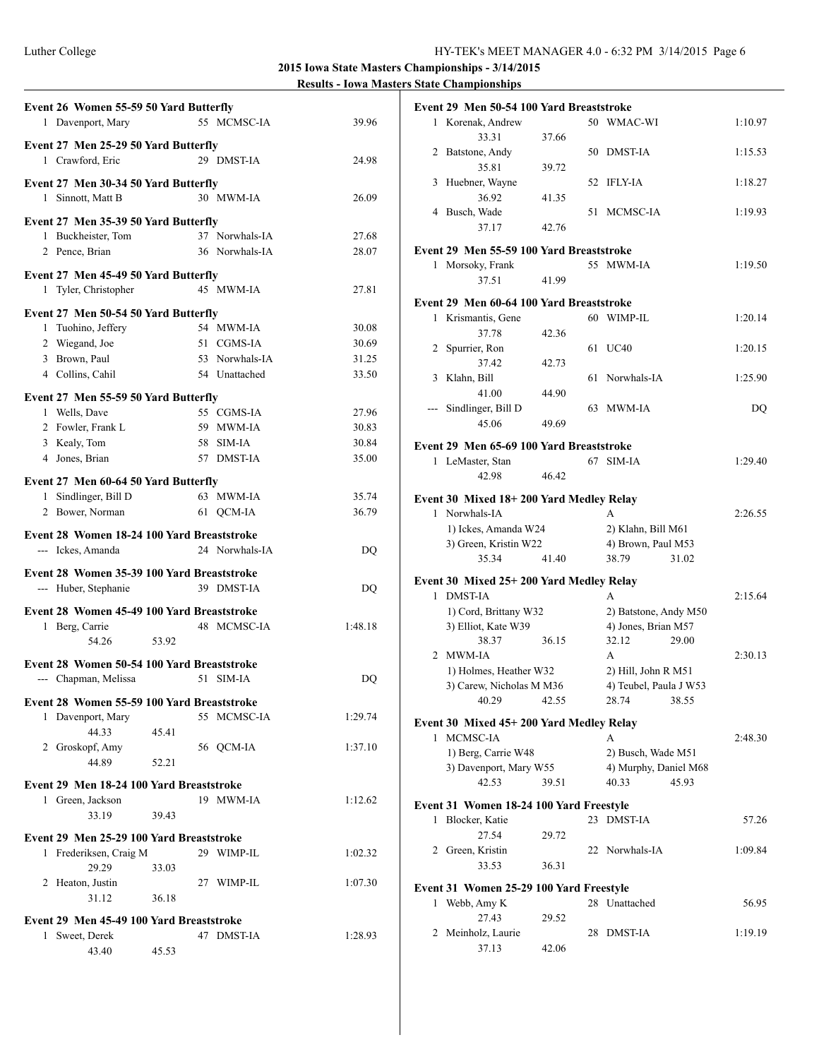|   | Event 26 Women 55-59 50 Yard Butterfly<br>1 Davenport, Mary        |       | 55 MCMSC-IA                     | 39.96          |
|---|--------------------------------------------------------------------|-------|---------------------------------|----------------|
|   | Event 27 Men 25-29 50 Yard Butterfly                               |       |                                 |                |
|   | 1 Crawford, Eric                                                   |       | 29 DMST-IA                      | 24.98          |
|   | Event 27 Men 30-34 50 Yard Butterfly<br>1 Sinnott, Matt B          |       | 30 MWM-IA                       | 26.09          |
|   | Event 27 Men 35-39 50 Yard Butterfly                               |       |                                 |                |
|   | 1 Buckheister, Tom                                                 |       | 37 Norwhals-IA                  | 27.68          |
|   | 2 Pence, Brian                                                     |       | 36 Norwhals-IA                  | 28.07          |
|   | Event 27 Men 45-49 50 Yard Butterfly                               |       |                                 |                |
|   | 1 Tyler, Christopher                                               |       | 45 MWM-IA                       | 27.81          |
|   | Event 27 Men 50-54 50 Yard Butterfly                               |       |                                 |                |
|   | 1 Tuohino, Jeffery                                                 |       | 54 MWM-IA                       | 30.08          |
|   | 2 Wiegand, Joe                                                     |       | 51 CGMS-IA                      | 30.69          |
|   | 3 Brown, Paul<br>4 Collins, Cahil                                  |       | 53 Norwhals-IA<br>54 Unattached | 31.25<br>33.50 |
|   |                                                                    |       |                                 |                |
|   | Event 27 Men 55-59 50 Yard Butterfly                               |       |                                 |                |
|   | 1 Wells, Dave                                                      |       | 55 CGMS-IA                      | 27.96          |
|   | 2 Fowler, Frank L                                                  |       | 59 MWM-IA                       | 30.83          |
|   | 3 Kealy, Tom<br>4 Jones, Brian                                     |       | 58 SIM-IA                       | 30.84          |
|   |                                                                    |       | 57 DMST-IA                      | 35.00          |
|   | Event 27 Men 60-64 50 Yard Butterfly                               |       |                                 |                |
|   | 1 Sindlinger, Bill D                                               |       | 63 MWM-IA                       | 35.74          |
|   | 2 Bower, Norman                                                    |       | 61 QCM-IA                       | 36.79          |
|   | Event 28 Women 18-24 100 Yard Breaststroke                         |       |                                 |                |
|   |                                                                    |       |                                 |                |
|   | --- Ickes, Amanda                                                  |       | 24 Norwhals-IA                  | DQ             |
|   |                                                                    |       |                                 |                |
|   | Event 28 Women 35-39 100 Yard Breaststroke<br>--- Huber, Stephanie |       | 39 DMST-IA                      | DQ             |
|   |                                                                    |       |                                 |                |
|   | Event 28 Women 45-49 100 Yard Breaststroke                         |       |                                 |                |
|   | 1 Berg, Carrie                                                     |       | 48 MCMSC-IA                     | 1:48.18        |
|   | 53.92<br>54.26                                                     |       |                                 |                |
|   | Event 28 Women 50-54 100 Yard Breaststroke                         |       |                                 |                |
|   | --- Chapman, Melissa                                               |       | 51 SIM-IA                       | DQ             |
|   | Event 28 Women 55-59 100 Yard Breaststroke                         |       |                                 |                |
|   | 1 Davenport, Mary                                                  |       | 55 MCMSC-IA                     | 1:29.74        |
|   | 44.33                                                              | 45.41 |                                 |                |
|   | 2 Groskopf, Amy                                                    |       | 56 QCM-IA                       | 1:37.10        |
|   | 44.89                                                              | 52.21 |                                 |                |
|   | Event 29 Men 18-24 100 Yard Breaststroke                           |       |                                 |                |
|   | 1 Green, Jackson                                                   |       | 19 MWM-IA                       | 1:12.62        |
|   | 33.19                                                              | 39.43 |                                 |                |
|   | Event 29 Men 25-29 100 Yard Breaststroke                           |       |                                 |                |
|   | 1 Frederiksen, Craig M                                             |       | 29 WIMP-IL                      | 1:02.32        |
|   | 29.29                                                              | 33.03 |                                 |                |
|   | 2 Heaton, Justin                                                   |       | 27 WIMP-IL                      | 1:07.30        |
|   | 31.12                                                              | 36.18 |                                 |                |
|   | Event 29 Men 45-49 100 Yard Breaststroke                           |       |                                 |                |
| 1 | Sweet, Derek<br>43.40                                              | 45.53 | 47 DMST-IA                      | 1:28.93        |

|                                                                                                | Event 29 Men 50-54 100 Yard Breaststroke                  |       |    |                        |         |
|------------------------------------------------------------------------------------------------|-----------------------------------------------------------|-------|----|------------------------|---------|
|                                                                                                | 1 Korenak, Andrew                                         |       |    | 50 WMAC-WI             | 1:10.97 |
|                                                                                                | 33.31<br>2 Batstone, Andy                                 | 37.66 |    | 50 DMST-IA             | 1:15.53 |
|                                                                                                | 35.81                                                     | 39.72 |    |                        |         |
| 3                                                                                              | Huebner, Wayne                                            |       | 52 | IFLY-IA                | 1:18.27 |
|                                                                                                | 36.92                                                     | 41.35 |    |                        |         |
|                                                                                                | 4 Busch, Wade<br>37.17                                    | 42.76 |    | 51 MCMSC-IA            | 1:19.93 |
|                                                                                                |                                                           |       |    |                        |         |
|                                                                                                | Event 29 Men 55-59 100 Yard Breaststroke                  |       |    |                        |         |
| 1                                                                                              | Morsoky, Frank                                            |       |    | 55 MWM-IA              | 1:19.50 |
|                                                                                                | 37.51                                                     | 41.99 |    |                        |         |
|                                                                                                | Event 29 Men 60-64 100 Yard Breaststroke                  |       |    |                        |         |
|                                                                                                | 1 Krismantis, Gene                                        |       |    | 60 WIMP-IL             | 1:20.14 |
|                                                                                                | 37.78                                                     | 42.36 |    |                        |         |
|                                                                                                | 2 Spurrier, Ron                                           |       | 61 | <b>UC40</b>            | 1:20.15 |
|                                                                                                | 37.42                                                     | 42.73 |    |                        |         |
| 3                                                                                              | Klahn, Bill                                               |       | 61 | Norwhals-IA            | 1:25.90 |
| $\frac{1}{2} \left( \frac{1}{2} \right) \left( \frac{1}{2} \right) \left( \frac{1}{2} \right)$ | 41.00<br>Sindlinger, Bill D                               | 44.90 | 63 | MWM-IA                 | DQ      |
|                                                                                                | 45.06                                                     | 49.69 |    |                        |         |
|                                                                                                |                                                           |       |    |                        |         |
|                                                                                                | Event 29 Men 65-69 100 Yard Breaststroke                  |       |    |                        |         |
|                                                                                                | 1 LeMaster, Stan                                          |       |    | 67 SIM-IA              | 1:29.40 |
|                                                                                                | 42.98                                                     | 46.42 |    |                        |         |
|                                                                                                | Event 30 Mixed 18+200 Yard Medley Relay                   |       |    |                        |         |
|                                                                                                | 1 Norwhals-IA                                             |       |    | A                      | 2:26.55 |
|                                                                                                | 1) Ickes, Amanda W24                                      |       |    | 2) Klahn, Bill M61     |         |
|                                                                                                | 3) Green, Kristin W22                                     |       |    | 4) Brown, Paul M53     |         |
|                                                                                                | 35.34                                                     | 41.40 |    | 38.79<br>31.02         |         |
|                                                                                                | Event 30 Mixed 25+ 200 Yard Medley Relay                  |       |    |                        |         |
| 1                                                                                              | <b>DMST-IA</b>                                            |       |    | A                      | 2:15.64 |
|                                                                                                | 1) Cord, Brittany W32                                     |       |    | 2) Batstone, Andy M50  |         |
|                                                                                                | 3) Elliot, Kate W39                                       |       |    | 4) Jones, Brian M57    |         |
|                                                                                                | 38.37<br>2 MWM-IA                                         | 36.15 |    | 32.12<br>29.00<br>A    |         |
|                                                                                                | 1) Holmes, Heather W32                                    |       |    | 2) Hill, John R M51    | 2:30.13 |
|                                                                                                | 3) Carew, Nicholas M M36                                  |       |    | 4) Teubel, Paula J W53 |         |
|                                                                                                | 40.29 42.55                                               |       |    | 28.74 38.55            |         |
|                                                                                                |                                                           |       |    |                        |         |
| $\mathbf{1}$                                                                                   | Event 30 Mixed 45+ 200 Yard Medley Relay<br>MCMSC-IA      |       |    | A                      | 2:48.30 |
|                                                                                                | 1) Berg, Carrie W48                                       |       |    | 2) Busch, Wade M51     |         |
|                                                                                                | 3) Davenport, Mary W55                                    |       |    | 4) Murphy, Daniel M68  |         |
|                                                                                                | 42.53                                                     | 39.51 |    | 45.93<br>40.33         |         |
|                                                                                                |                                                           |       |    |                        |         |
| 1                                                                                              | Event 31 Women 18-24 100 Yard Freestyle<br>Blocker, Katie |       | 23 | <b>DMST-IA</b>         | 57.26   |
|                                                                                                | 27.54                                                     | 29.72 |    |                        |         |
|                                                                                                | 2 Green, Kristin                                          |       |    | 22 Norwhals-IA         | 1:09.84 |
|                                                                                                | 33.53                                                     | 36.31 |    |                        |         |
|                                                                                                |                                                           |       |    |                        |         |
| 1                                                                                              | Event 31 Women 25-29 100 Yard Freestyle<br>Webb, Amy K    |       |    | 28 Unattached          | 56.95   |
|                                                                                                | 27.43                                                     | 29.52 |    |                        |         |
| 2                                                                                              | Meinholz, Laurie                                          |       | 28 | <b>DMST-IA</b>         | 1:19.19 |
|                                                                                                |                                                           |       |    |                        |         |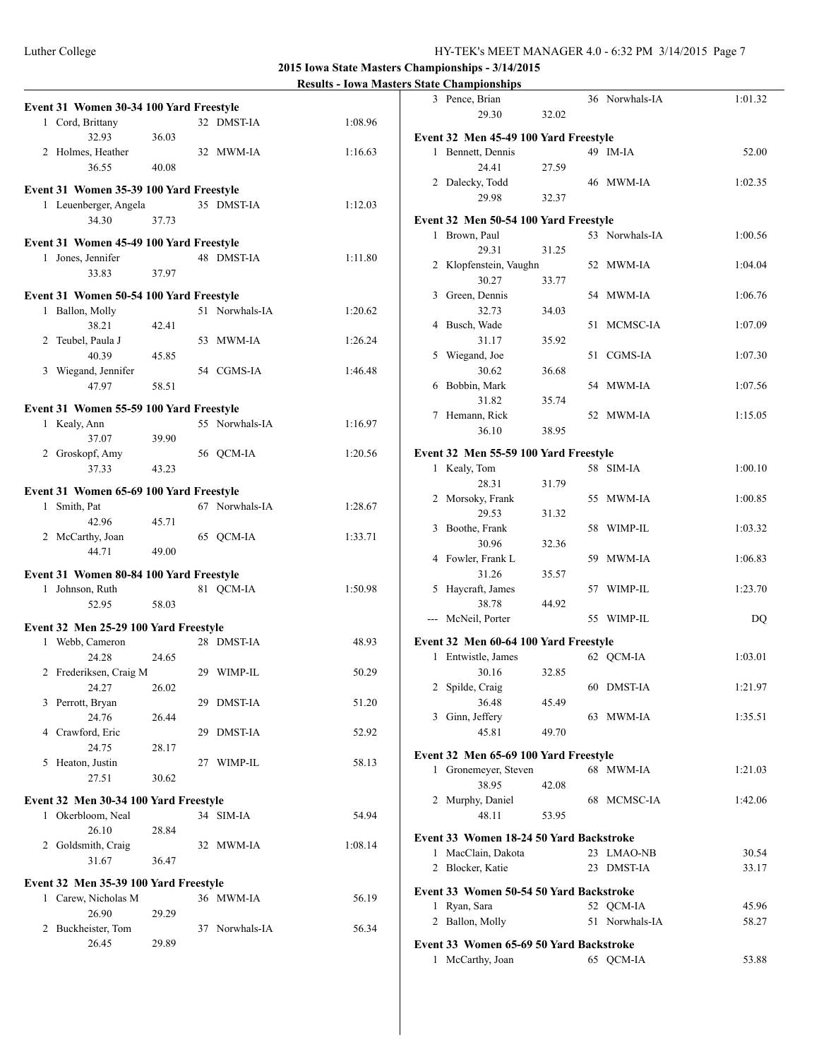#### Luther College HY-TEK's MEET MANAGER 4.0 - 6:32 PM 3/14/2015 Page 7

**2015 Iowa State Masters Championships - 3/14/2015**

|                                         |       |                | Results - Towa masters state Championships |                                         |       |                |           |
|-----------------------------------------|-------|----------------|--------------------------------------------|-----------------------------------------|-------|----------------|-----------|
|                                         |       |                |                                            | 3 Pence, Brian                          |       | 36 Norwhals-IA | 1:01.32   |
| Event 31 Women 30-34 100 Yard Freestyle |       |                |                                            | 29.30                                   | 32.02 |                |           |
| 1 Cord, Brittany                        |       | 32 DMST-IA     | 1:08.96                                    |                                         |       |                |           |
| 32.93                                   | 36.03 |                |                                            | Event 32 Men 45-49 100 Yard Freestyle   |       |                |           |
| 2 Holmes, Heather                       |       | 32 MWM-IA      | 1:16.63                                    | 1 Bennett, Dennis                       |       | 49 IM-IA       | 52.00     |
| 36.55                                   | 40.08 |                |                                            | 24.41                                   | 27.59 |                |           |
| Event 31 Women 35-39 100 Yard Freestyle |       |                |                                            | 2 Dalecky, Todd                         |       | 46 MWM-IA      | 1:02.35   |
| 1 Leuenberger, Angela                   |       | 35 DMST-IA     | 1:12.03                                    | 29.98                                   | 32.37 |                |           |
| 34.30                                   | 37.73 |                |                                            | Event 32 Men 50-54 100 Yard Freestyle   |       |                |           |
|                                         |       |                |                                            | 1 Brown, Paul                           |       | 53 Norwhals-IA | 1:00.56   |
| Event 31 Women 45-49 100 Yard Freestyle |       |                |                                            |                                         |       |                |           |
| 1 Jones, Jennifer                       |       | 48 DMST-IA     | 1:11.80                                    | 29.31                                   | 31.25 |                |           |
| 33.83                                   | 37.97 |                |                                            | 2 Klopfenstein, Vaughn                  |       | 52 MWM-IA      | 1:04.04   |
|                                         |       |                |                                            | 30.27                                   | 33.77 |                |           |
| Event 31 Women 50-54 100 Yard Freestyle |       |                |                                            | 3 Green, Dennis                         |       | 54 MWM-IA      | 1:06.76   |
| 1 Ballon, Molly                         |       | 51 Norwhals-IA | 1:20.62                                    | 32.73                                   | 34.03 |                |           |
| 38.21                                   | 42.41 |                |                                            | 4 Busch, Wade                           |       | 51 MCMSC-IA    | 1:07.09   |
| 2 Teubel, Paula J                       |       | 53 MWM-IA      | 1:26.24                                    | 31.17                                   | 35.92 |                |           |
| 40.39                                   | 45.85 |                |                                            | 5 Wiegand, Joe                          |       | 51 CGMS-IA     | 1:07.30   |
| 3 Wiegand, Jennifer                     |       | 54 CGMS-IA     | 1:46.48                                    | 30.62                                   | 36.68 |                |           |
| 47.97                                   | 58.51 |                |                                            | 6 Bobbin, Mark                          |       | 54 MWM-IA      | 1:07.56   |
|                                         |       |                |                                            | 31.82                                   | 35.74 |                |           |
| Event 31 Women 55-59 100 Yard Freestyle |       |                |                                            | 7 Hemann, Rick                          |       | 52 MWM-IA      | 1:15.05   |
| 1 Kealy, Ann                            |       | 55 Norwhals-IA | 1:16.97                                    | 36.10                                   | 38.95 |                |           |
| 37.07                                   | 39.90 |                |                                            |                                         |       |                |           |
| 2 Groskopf, Amy                         |       | 56 QCM-IA      | 1:20.56                                    | Event 32 Men 55-59 100 Yard Freestyle   |       |                |           |
| 37.33                                   | 43.23 |                |                                            | 1 Kealy, Tom                            |       | 58 SIM-IA      | 1:00.10   |
| Event 31 Women 65-69 100 Yard Freestyle |       |                |                                            | 28.31                                   | 31.79 |                |           |
| 1 Smith, Pat                            |       | 67 Norwhals-IA | 1:28.67                                    | 2 Morsoky, Frank                        |       | 55 MWM-IA      | 1:00.85   |
|                                         |       |                |                                            | 29.53                                   | 31.32 |                |           |
| 42.96                                   | 45.71 |                |                                            | 3 Boothe, Frank                         |       | 58 WIMP-IL     | 1:03.32   |
| 2 McCarthy, Joan                        |       | 65 QCM-IA      | 1:33.71                                    | 30.96                                   | 32.36 |                |           |
| 44.71                                   | 49.00 |                |                                            | 4 Fowler, Frank L                       |       | 59 MWM-IA      | 1:06.83   |
| Event 31 Women 80-84 100 Yard Freestyle |       |                |                                            | 31.26                                   | 35.57 |                |           |
| 1 Johnson, Ruth                         |       | 81 QCM-IA      | 1:50.98                                    | 5 Haycraft, James                       |       | 57 WIMP-IL     | 1:23.70   |
| 52.95                                   | 58.03 |                |                                            | 38.78                                   | 44.92 |                |           |
|                                         |       |                |                                            | --- McNeil, Porter                      |       | 55 WIMP-IL     | <b>DQ</b> |
| Event 32 Men 25-29 100 Yard Freestyle   |       |                |                                            |                                         |       |                |           |
| 1 Webb, Cameron                         |       | 28 DMST-IA     | 48.93                                      | Event 32 Men 60-64 100 Yard Freestyle   |       |                |           |
| 24.28                                   | 24.65 |                |                                            | 1 Entwistle, James                      |       | 62 QCM-IA      | 1:03.01   |
| 2 Frederiksen, Craig M                  |       | 29 WIMP-IL     | 50.29                                      | 30.16                                   | 32.85 |                |           |
| 24.27 26.02                             |       |                |                                            | 2 Spilde, Craig                         |       | 60 DMST-IA     | 1:21.97   |
| 3 Perrott, Bryan                        |       | 29 DMST-IA     | 51.20                                      | 36.48                                   | 45.49 |                |           |
| 24.76                                   | 26.44 |                |                                            | 3 Ginn, Jeffery                         |       | 63 MWM-IA      | 1:35.51   |
| 4 Crawford, Eric                        |       | 29 DMST-IA     | 52.92                                      | 45.81                                   | 49.70 |                |           |
| 24.75                                   | 28.17 |                |                                            |                                         |       |                |           |
| 5 Heaton, Justin                        |       | 27 WIMP-IL     | 58.13                                      | Event 32 Men 65-69 100 Yard Freestyle   |       |                |           |
| 27.51                                   | 30.62 |                |                                            | 1 Gronemeyer, Steven                    |       | 68 MWM-IA      | 1:21.03   |
|                                         |       |                |                                            | 38.95                                   | 42.08 |                |           |
| Event 32 Men 30-34 100 Yard Freestyle   |       |                |                                            | 2 Murphy, Daniel                        |       | 68 MCMSC-IA    | 1:42.06   |
| 1 Okerbloom, Neal                       |       | 34 SIM-IA      | 54.94                                      | 48.11                                   | 53.95 |                |           |
| 26.10                                   | 28.84 |                |                                            |                                         |       |                |           |
| 2 Goldsmith, Craig                      |       | 32 MWM-IA      | 1:08.14                                    | Event 33 Women 18-24 50 Yard Backstroke |       |                |           |
| 31.67                                   | 36.47 |                |                                            | 1 MacClain, Dakota                      |       | 23 LMAO-NB     | 30.54     |
|                                         |       |                |                                            | 2 Blocker, Katie                        |       | 23 DMST-IA     | 33.17     |
| Event 32 Men 35-39 100 Yard Freestyle   |       |                |                                            | Event 33 Women 50-54 50 Yard Backstroke |       |                |           |
| 1 Carew, Nicholas M                     |       | 36 MWM-IA      | 56.19                                      | 1 Ryan, Sara                            |       | 52 QCM-IA      | 45.96     |
| 26.90                                   | 29.29 |                |                                            |                                         |       | 51 Norwhals-IA |           |
| 2 Buckheister, Tom                      |       | 37 Norwhals-IA | 56.34                                      | 2 Ballon, Molly                         |       |                | 58.27     |
| 26.45                                   | 29.89 |                |                                            | Event 33 Women 65-69 50 Yard Backstroke |       |                |           |
|                                         |       |                |                                            | 1 McCarthy, Joan                        |       | 65 QCM-IA      | 53.88     |
|                                         |       |                |                                            |                                         |       |                |           |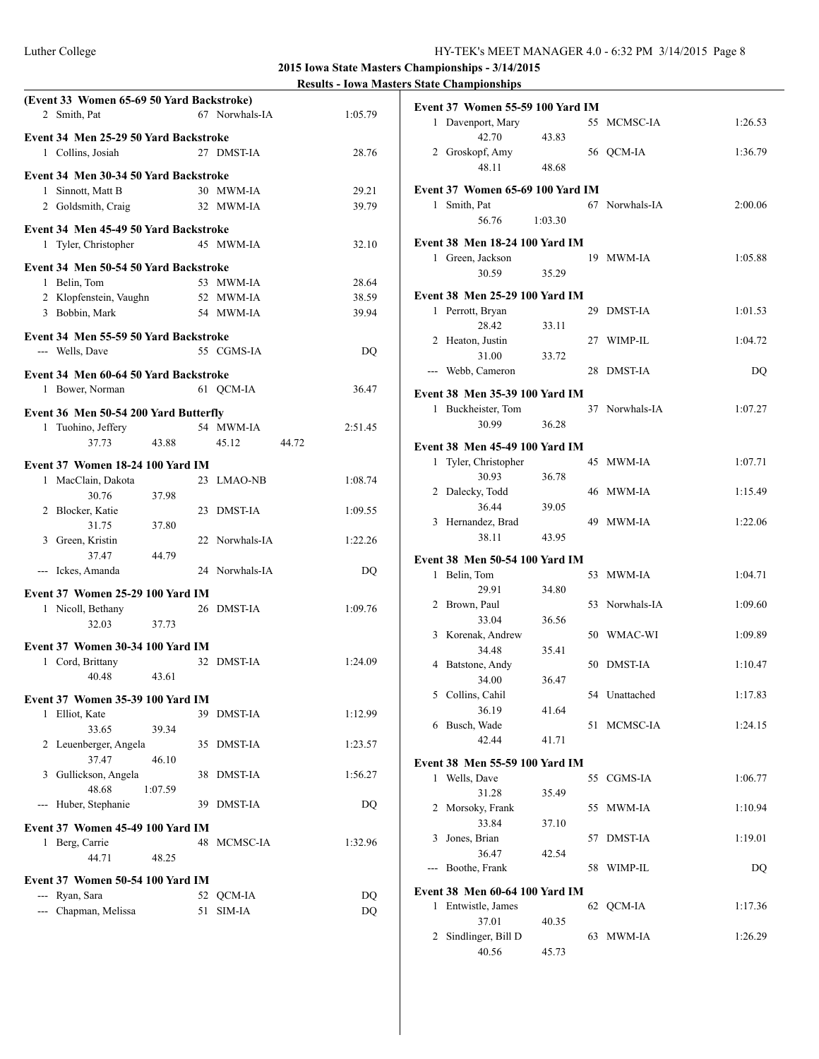|                                  | (Event 33 Women 65-69 50 Yard Backstroke)                  |         |    |                        |       |           |
|----------------------------------|------------------------------------------------------------|---------|----|------------------------|-------|-----------|
|                                  | 2 Smith, Pat                                               |         |    | 67 Norwhals-IA         |       | 1:05.79   |
|                                  |                                                            |         |    |                        |       |           |
|                                  | Event 34 Men 25-29 50 Yard Backstroke<br>1 Collins, Josiah |         |    | 27 DMST-IA             |       |           |
|                                  |                                                            |         |    |                        |       | 28.76     |
|                                  | Event 34 Men 30-34 50 Yard Backstroke                      |         |    |                        |       |           |
|                                  | 1 Sinnott, Matt B                                          |         |    | 30 MWM-IA              |       | 29.21     |
|                                  | 2 Goldsmith, Craig                                         |         |    | 32 MWM-IA              |       | 39.79     |
|                                  | Event 34 Men 45-49 50 Yard Backstroke                      |         |    |                        |       |           |
|                                  | 1 Tyler, Christopher                                       |         |    | 45 MWM-IA              |       | 32.10     |
|                                  |                                                            |         |    |                        |       |           |
|                                  | Event 34 Men 50-54 50 Yard Backstroke                      |         |    |                        |       |           |
|                                  | 1 Belin, Tom                                               |         |    | 53 MWM-IA              |       | 28.64     |
|                                  | 2 Klopfenstein, Vaughn                                     |         |    | 52 MWM-IA<br>54 MWM-IA |       | 38.59     |
|                                  | 3 Bobbin, Mark                                             |         |    |                        |       | 39.94     |
|                                  | Event 34 Men 55-59 50 Yard Backstroke                      |         |    |                        |       |           |
|                                  | --- Wells, Dave                                            |         |    | 55 CGMS-IA             |       | DQ        |
|                                  | Event 34 Men 60-64 50 Yard Backstroke                      |         |    |                        |       |           |
|                                  | 1 Bower, Norman                                            |         |    | 61 QCM-IA              |       | 36.47     |
|                                  |                                                            |         |    |                        |       |           |
|                                  | Event 36 Men 50-54 200 Yard Butterfly                      |         |    |                        |       |           |
|                                  | 1 Tuohino, Jeffery                                         |         |    | 54 MWM-IA              |       | 2:51.45   |
|                                  | 37.73                                                      | 43.88   |    | 45.12                  | 44.72 |           |
|                                  | Event 37 Women 18-24 100 Yard IM                           |         |    |                        |       |           |
|                                  | 1 MacClain, Dakota                                         |         |    | 23 LMAO-NB             |       | 1:08.74   |
|                                  | 30.76                                                      | 37.98   |    |                        |       |           |
|                                  | 2 Blocker, Katie                                           |         |    | 23 DMST-IA             |       | 1:09.55   |
|                                  | 31.75                                                      | 37.80   |    |                        |       |           |
|                                  | 3 Green, Kristin                                           |         |    | 22 Norwhals-IA         |       | 1:22.26   |
|                                  | 37.47                                                      | 44.79   |    |                        |       |           |
|                                  | --- Ickes, Amanda                                          |         |    | 24 Norwhals-IA         |       | DQ        |
|                                  | Event 37 Women 25-29 100 Yard IM                           |         |    |                        |       |           |
|                                  | 1 Nicoll, Bethany                                          |         |    | 26 DMST-IA             |       | 1:09.76   |
|                                  | 32.03                                                      | 37.73   |    |                        |       |           |
|                                  | Event 37 Women 30-34 100 Yard IM                           |         |    |                        |       |           |
|                                  | 1 Cord, Brittany                                           |         |    | 32 DMST-IA             |       | 1:24.09   |
|                                  | 40.48                                                      | 43.61   |    |                        |       |           |
|                                  |                                                            |         |    |                        |       |           |
|                                  | Event 37 Women 35-39 100 Yard IM                           |         |    |                        |       |           |
|                                  | 1 Elliot, Kate                                             |         |    | 39 DMST-IA             |       | 1:12.99   |
| 2                                | 33.65                                                      | 39.34   | 35 | <b>DMST-IA</b>         |       | 1:23.57   |
|                                  | Leuenberger, Angela<br>37.47                               | 46.10   |    |                        |       |           |
|                                  | 3 Gullickson, Angela                                       |         | 38 | DMST-IA                |       | 1:56.27   |
|                                  | 48.68                                                      | 1:07.59 |    |                        |       |           |
| $--$                             | Huber, Stephanie                                           |         |    | 39 DMST-IA             |       | DQ        |
|                                  |                                                            |         |    |                        |       |           |
| Event 37 Women 45-49 100 Yard IM |                                                            |         |    |                        |       |           |
|                                  | 1 Berg, Carrie                                             |         | 48 | MCMSC-IA               |       | 1:32.96   |
| 44.71<br>48.25                   |                                                            |         |    |                        |       |           |
| Event 37 Women 50-54 100 Yard IM |                                                            |         |    |                        |       |           |
|                                  | --- Ryan, Sara                                             |         | 52 | QCM-IA                 |       | DQ        |
| $- - -$                          | Chapman, Melissa                                           |         | 51 | $SIM-IA$               |       | <b>DQ</b> |

|                                | <b>Event 37 Women 55-59 100 Yard IM</b> |         |    |                |         |
|--------------------------------|-----------------------------------------|---------|----|----------------|---------|
|                                | 1 Davenport, Mary                       |         |    | 55 MCMSC-IA    | 1:26.53 |
|                                | 42.70                                   | 43.83   |    |                |         |
|                                | 2 Groskopf, Amy                         |         |    | 56 QCM-IA      | 1:36.79 |
|                                | 48.11                                   | 48.68   |    |                |         |
|                                | Event 37 Women 65-69 100 Yard IM        |         |    |                |         |
|                                | 1 Smith, Pat                            |         |    | 67 Norwhals-IA | 2:00.06 |
|                                | 56.76                                   | 1:03.30 |    |                |         |
|                                | Event 38 Men 18-24 100 Yard IM          |         |    |                |         |
|                                | 1 Green, Jackson                        |         |    | 19 MWM-IA      | 1:05.88 |
|                                | 30.59                                   | 35.29   |    |                |         |
|                                | Event 38 Men 25-29 100 Yard IM          |         |    |                |         |
|                                | 1 Perrott, Bryan                        |         |    | 29 DMST-IA     | 1:01.53 |
|                                | 28.42                                   | 33.11   |    |                |         |
|                                | 2 Heaton, Justin                        |         |    | 27 WIMP-IL     | 1:04.72 |
|                                | 31.00<br>--- Webb, Cameron              | 33.72   | 28 | DMST-IA        | DQ      |
|                                |                                         |         |    |                |         |
|                                | Event 38 Men 35-39 100 Yard IM          |         |    |                |         |
|                                | 1 Buckheister, Tom<br>30.99             | 36.28   |    | 37 Norwhals-IA | 1:07.27 |
|                                |                                         |         |    |                |         |
|                                | Event 38 Men 45-49 100 Yard IM          |         |    |                |         |
| 1                              | Tyler, Christopher                      |         |    | 45 MWM-IA      | 1:07.71 |
|                                | 30.93<br>2 Dalecky, Todd                | 36.78   |    | 46 MWM-IA      | 1:15.49 |
|                                | 36.44                                   | 39.05   |    |                |         |
|                                | 3 Hernandez, Brad                       |         |    | 49 MWM-IA      | 1:22.06 |
|                                | 38.11                                   | 43.95   |    |                |         |
|                                | Event 38 Men 50-54 100 Yard IM          |         |    |                |         |
| 1                              | Belin, Tom                              |         |    | 53 MWM-IA      | 1:04.71 |
|                                | 29.91                                   | 34.80   |    |                |         |
|                                | 2 Brown, Paul                           |         |    | 53 Norwhals-IA | 1:09.60 |
|                                | 33.04                                   | 36.56   |    |                |         |
|                                | 3 Korenak, Andrew                       |         |    | 50 WMAC-WI     | 1:09.89 |
|                                | 34.48                                   | 35.41   |    |                |         |
|                                | 4 Batstone, Andy                        |         |    | 50 DMST-IA     | 1:10.47 |
|                                | 34.00                                   | 36.47   |    |                |         |
|                                | 5 Collins, Cahil<br>36.19               | 41.64   |    | 54 Unattached  | 1:17.83 |
|                                | 6 Busch, Wade                           |         | 51 | MCMSC-IA       | 1:24.15 |
|                                | 42.44                                   | 41.71   |    |                |         |
|                                | <b>Event 38 Men 55-59 100 Yard IM</b>   |         |    |                |         |
|                                | 1 Wells, Dave                           |         | 55 | CGMS-IA        | 1:06.77 |
|                                | 31.28                                   | 35.49   |    |                |         |
| 2                              | Morsoky, Frank                          |         | 55 | MWM-IA         | 1:10.94 |
|                                | 33.84                                   | 37.10   |    |                |         |
| 3                              | Jones, Brian                            |         | 57 | <b>DMST-IA</b> | 1:19.01 |
|                                | 36.47                                   | 42.54   |    |                |         |
|                                | Boothe, Frank                           |         | 58 | WIMP-IL        | DQ      |
| Event 38 Men 60-64 100 Yard IM |                                         |         |    |                |         |
| 1                              | Entwistle, James                        |         | 62 | QCM-IA         | 1:17.36 |
|                                |                                         |         |    |                |         |
|                                | 37.01                                   | 40.35   |    |                |         |
| 2                              | Sindlinger, Bill D<br>40.56             | 45.73   | 63 | <b>MWM-IA</b>  | 1:26.29 |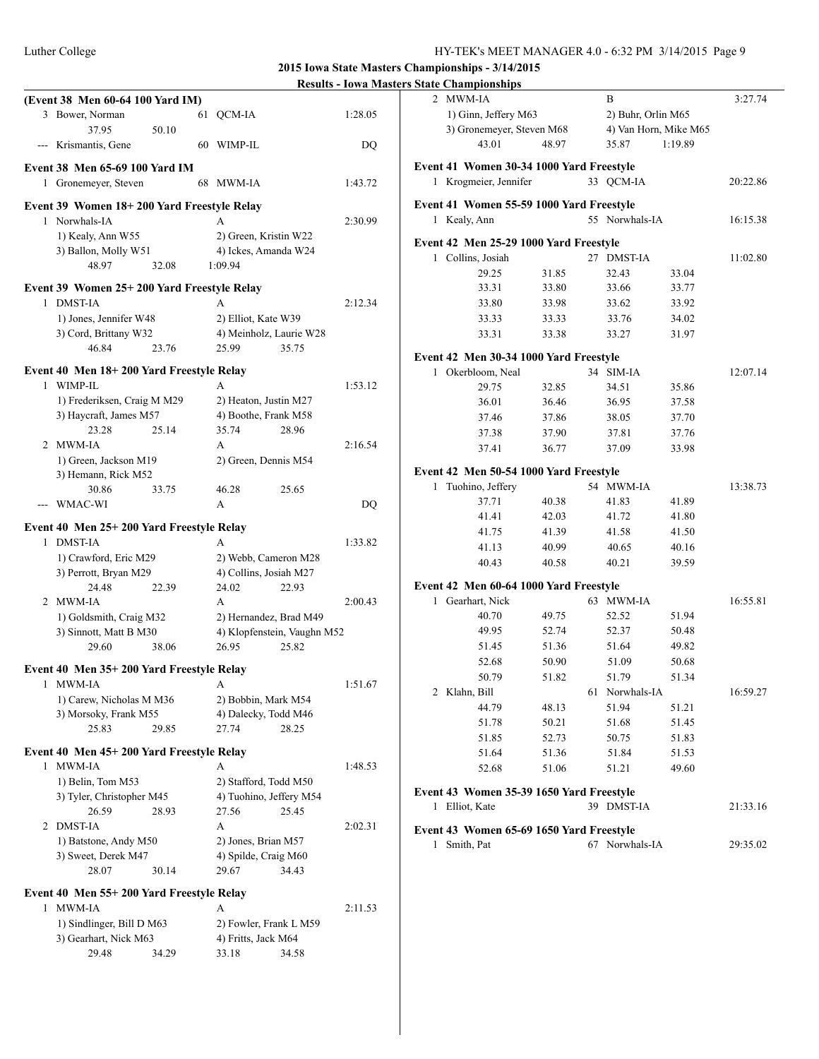#### Luther College HY-TEK's MEET MANAGER 4.0 - 6:32 PM 3/14/2015 Page 9

**2015 Iowa State Masters Championships - 3/14/2015**

|                                                       |                                        |         | Results - TOWA MASTELS STATE CHAMPIONSHIPS |       |                    |                       |          |
|-------------------------------------------------------|----------------------------------------|---------|--------------------------------------------|-------|--------------------|-----------------------|----------|
| (Event 38 Men 60-64 100 Yard IM)                      |                                        |         | 2 MWM-IA                                   |       | B                  |                       | 3:27.74  |
| 3 Bower, Norman                                       | 61 QCM-IA                              | 1:28.05 | 1) Ginn, Jeffery M63                       |       | 2) Buhr, Orlin M65 |                       |          |
| 37.95<br>50.10                                        |                                        |         | 3) Gronemeyer, Steven M68                  |       |                    | 4) Van Horn, Mike M65 |          |
| --- Krismantis, Gene                                  | 60 WIMP-IL                             | DQ      | 43.01                                      | 48.97 | 35.87              | 1:19.89               |          |
|                                                       |                                        |         |                                            |       |                    |                       |          |
| Event 38 Men 65-69 100 Yard IM                        |                                        |         | Event 41 Women 30-34 1000 Yard Freestyle   |       |                    |                       |          |
| 1 Gronemeyer, Steven                                  | 68 MWM-IA                              | 1:43.72 | 1 Krogmeier, Jennifer                      |       | 33 OCM-IA          |                       | 20:22.86 |
| Event 39 Women 18+200 Yard Freestyle Relay            |                                        |         | Event 41 Women 55-59 1000 Yard Freestyle   |       |                    |                       |          |
| 1 Norwhals-IA                                         | $\mathsf{A}$                           | 2:30.99 | 1 Kealy, Ann                               |       | 55 Norwhals-IA     |                       | 16:15.38 |
| 1) Kealy, Ann W55                                     | 2) Green, Kristin W22                  |         |                                            |       |                    |                       |          |
| 3) Ballon, Molly W51                                  | 4) Ickes, Amanda W24                   |         | Event 42 Men 25-29 1000 Yard Freestyle     |       |                    |                       |          |
| 48.97<br>32.08                                        | 1:09.94                                |         | 1 Collins, Josiah                          |       | 27 DMST-IA         |                       | 11:02.80 |
|                                                       |                                        |         | 29.25                                      | 31.85 | 32.43              | 33.04                 |          |
| Event 39 Women 25+200 Yard Freestyle Relay            |                                        |         | 33.31                                      | 33.80 | 33.66              | 33.77                 |          |
| 1 DMST-IA                                             | A                                      | 2:12.34 | 33.80                                      | 33.98 | 33.62              | 33.92                 |          |
| 1) Jones, Jennifer W48                                | 2) Elliot, Kate W39                    |         | 33.33                                      | 33.33 | 33.76              | 34.02                 |          |
| 3) Cord, Brittany W32                                 | 4) Meinholz, Laurie W28                |         | 33.31                                      | 33.38 | 33.27              | 31.97                 |          |
| 46.84<br>23.76                                        | 35.75<br>25.99                         |         | Event 42 Men 30-34 1000 Yard Freestyle     |       |                    |                       |          |
| Event 40 Men 18+200 Yard Freestyle Relay              |                                        |         |                                            |       |                    |                       |          |
| 1 WIMP-IL                                             | A                                      | 1:53.12 | 1 Okerbloom, Neal                          |       | 34 SIM-IA          |                       | 12:07.14 |
|                                                       |                                        |         | 29.75                                      | 32.85 | 34.51              | 35.86                 |          |
| 1) Frederiksen, Craig M M29<br>3) Haycraft, James M57 | 2) Heaton, Justin M27                  |         | 36.01                                      | 36.46 | 36.95              | 37.58                 |          |
| 23.28<br>25.14                                        | 4) Boothe, Frank M58<br>28.96<br>35.74 |         | 37.46                                      | 37.86 | 38.05              | 37.70                 |          |
| 2 MWM-IA                                              | A                                      | 2:16.54 | 37.38                                      | 37.90 | 37.81              | 37.76                 |          |
|                                                       |                                        |         | 37.41                                      | 36.77 | 37.09              | 33.98                 |          |
| 1) Green, Jackson M19                                 | 2) Green, Dennis M54                   |         | Event 42 Men 50-54 1000 Yard Freestyle     |       |                    |                       |          |
| 3) Hemann, Rick M52                                   |                                        |         | 1 Tuohino, Jeffery                         |       | 54 MWM-IA          |                       | 13:38.73 |
| 30.86<br>33.75                                        | 25.65<br>46.28                         |         | 37.71                                      | 40.38 | 41.83              | 41.89                 |          |
| --- WMAC-WI                                           | A                                      | DQ      | 41.41                                      | 42.03 | 41.72              | 41.80                 |          |
| Event 40 Men 25+200 Yard Freestyle Relay              |                                        |         | 41.75                                      | 41.39 | 41.58              | 41.50                 |          |
| 1 DMST-IA                                             | A                                      | 1:33.82 | 41.13                                      | 40.99 | 40.65              | 40.16                 |          |
| 1) Crawford, Eric M29                                 | 2) Webb, Cameron M28                   |         |                                            |       |                    |                       |          |
| 3) Perrott, Bryan M29                                 | 4) Collins, Josiah M27                 |         | 40.43                                      | 40.58 | 40.21              | 39.59                 |          |
| 22.39<br>24.48                                        | 24.02<br>22.93                         |         | Event 42 Men 60-64 1000 Yard Freestyle     |       |                    |                       |          |
| 2 MWM-IA                                              | A                                      | 2:00.43 | 1 Gearhart, Nick                           |       | 63 MWM-IA          |                       | 16:55.81 |
| 1) Goldsmith, Craig M32                               | 2) Hernandez, Brad M49                 |         | 40.70                                      | 49.75 | 52.52              | 51.94                 |          |
| 3) Sinnott, Matt B M30                                | 4) Klopfenstein, Vaughn M52            |         | 49.95                                      | 52.74 | 52.37              | 50.48                 |          |
| 38.06<br>29.60                                        | 26.95<br>25.82                         |         | 51.45                                      | 51.36 | 51.64              | 49.82                 |          |
|                                                       |                                        |         | 52.68                                      | 50.90 | 51.09              | 50.68                 |          |
| Event 40 Men 35+200 Yard Freestyle Relay              |                                        |         | 50.79                                      | 51.82 | 51.79              | 51.34                 |          |
| 1 MWM-IA                                              |                                        | 1:51.67 | 2 Klahn, Bill                              |       | 61 Norwhals-IA     |                       | 16:59.27 |
| 1) Carew, Nicholas M M36                              | 2) Bobbin, Mark M54                    |         | 44.79                                      | 48.13 | 51.94              | 51.21                 |          |
| 3) Morsoky, Frank M55                                 | 4) Dalecky, Todd M46                   |         | 51.78                                      | 50.21 | 51.68              | 51.45                 |          |
| 25.83<br>29.85                                        | 27.74<br>28.25                         |         | 51.85                                      | 52.73 | 50.75              | 51.83                 |          |
| Event 40 Men 45+200 Yard Freestyle Relay              |                                        |         | 51.64                                      | 51.36 | 51.84              | 51.53                 |          |
| 1 MWM-IA                                              | A                                      | 1:48.53 | 52.68                                      | 51.06 |                    | 49.60                 |          |
| 1) Belin, Tom M53                                     | 2) Stafford, Todd M50                  |         |                                            |       | 51.21              |                       |          |
| 3) Tyler, Christopher M45                             | 4) Tuohino, Jeffery M54                |         | Event 43 Women 35-39 1650 Yard Freestyle   |       |                    |                       |          |
| 26.59<br>28.93                                        | 27.56<br>25.45                         |         | 1 Elliot, Kate                             |       | 39 DMST-IA         |                       | 21:33.16 |
| 2 DMST-IA                                             | A                                      | 2:02.31 |                                            |       |                    |                       |          |
| 1) Batstone, Andy M50                                 | 2) Jones, Brian M57                    |         | Event 43 Women 65-69 1650 Yard Freestyle   |       |                    |                       |          |
|                                                       | 4) Spilde, Craig M60                   |         | 1 Smith, Pat                               |       | 67 Norwhals-IA     |                       | 29:35.02 |
| 3) Sweet, Derek M47<br>28.07<br>30.14                 |                                        |         |                                            |       |                    |                       |          |
|                                                       | 29.67<br>34.43                         |         |                                            |       |                    |                       |          |
| Event 40 Men 55+200 Yard Freestyle Relay              |                                        |         |                                            |       |                    |                       |          |
| 1 MWM-IA                                              | A                                      | 2:11.53 |                                            |       |                    |                       |          |
|                                                       |                                        |         |                                            |       |                    |                       |          |
| 1) Sindlinger, Bill D M63                             | 2) Fowler, Frank L M59                 |         |                                            |       |                    |                       |          |
| 3) Gearhart, Nick M63                                 | 4) Fritts, Jack M64                    |         |                                            |       |                    |                       |          |